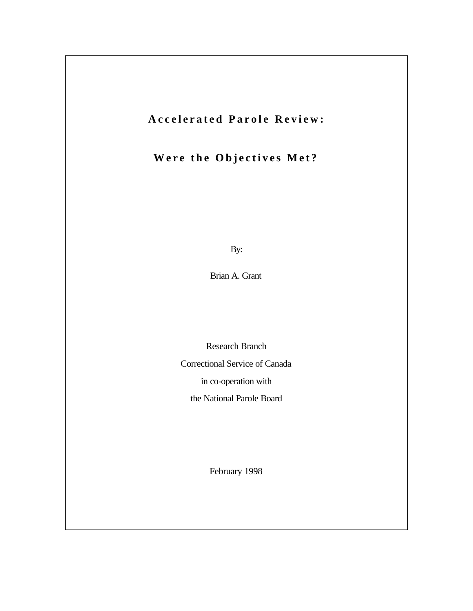# **Accelerated Parole Review:**

# **Were the Objectives Met?**

By:

Brian A. Grant

Research Branch

Correctional Service of Canada

in co-operation with

the National Parole Board

February 1998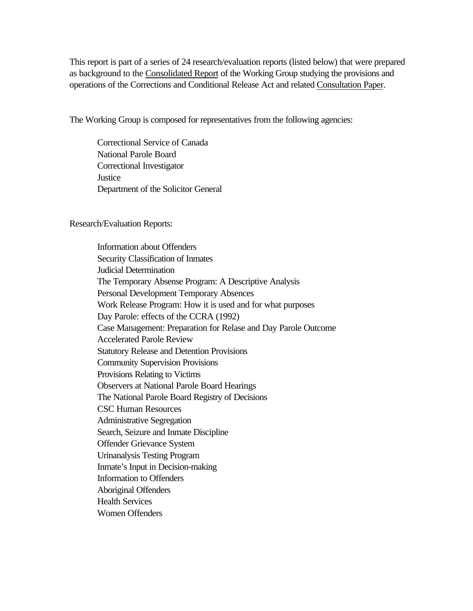This report is part of a series of 24 research/evaluation reports (listed below) that were prepared as background to the Consolidated Report of the Working Group studying the provisions and operations of the Corrections and Conditional Release Act and related Consultation Paper.

The Working Group is composed for representatives from the following agencies:

Correctional Service of Canada National Parole Board Correctional Investigator **Justice** Department of the Solicitor General

Research/Evaluation Reports:

Information about Offenders Security Classification of Inmates Judicial Determination The Temporary Absense Program: A Descriptive Analysis Personal Development Temporary Absences Work Release Program: How it is used and for what purposes Day Parole: effects of the CCRA (1992) Case Management: Preparation for Relase and Day Parole Outcome Accelerated Parole Review Statutory Release and Detention Provisions Community Supervision Provisions Provisions Relating to Victims Observers at National Parole Board Hearings The National Parole Board Registry of Decisions CSC Human Resources Administrative Segregation Search, Seizure and Inmate Discipline Offender Grievance System Urinanalysis Testing Program Inmate's Input in Decision-making Information to Offenders Aboriginal Offenders Health Services Women Offenders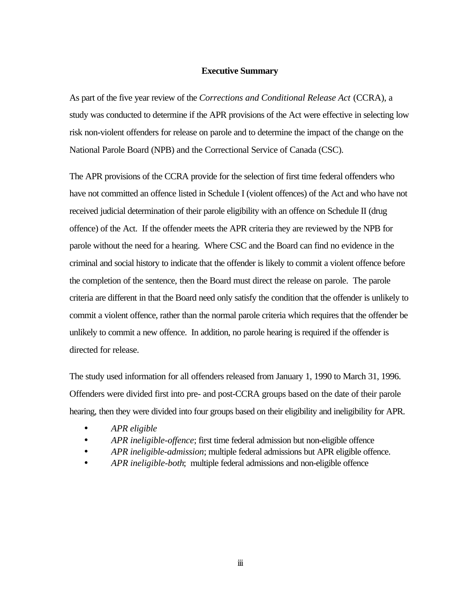#### **Executive Summary**

As part of the five year review of the *Corrections and Conditional Release Act* (CCRA), a study was conducted to determine if the APR provisions of the Act were effective in selecting low risk non-violent offenders for release on parole and to determine the impact of the change on the National Parole Board (NPB) and the Correctional Service of Canada (CSC).

The APR provisions of the CCRA provide for the selection of first time federal offenders who have not committed an offence listed in Schedule I (violent offences) of the Act and who have not received judicial determination of their parole eligibility with an offence on Schedule II (drug offence) of the Act. If the offender meets the APR criteria they are reviewed by the NPB for parole without the need for a hearing. Where CSC and the Board can find no evidence in the criminal and social history to indicate that the offender is likely to commit a violent offence before the completion of the sentence, then the Board must direct the release on parole. The parole criteria are different in that the Board need only satisfy the condition that the offender is unlikely to commit a violent offence, rather than the normal parole criteria which requires that the offender be unlikely to commit a new offence. In addition, no parole hearing is required if the offender is directed for release.

The study used information for all offenders released from January 1, 1990 to March 31, 1996. Offenders were divided first into pre- and post-CCRA groups based on the date of their parole hearing, then they were divided into four groups based on their eligibility and ineligibility for APR.

- *APR eligible*
- *APR ineligible-offence*; first time federal admission but non-eligible offence
- *APR ineligible-admission*; multiple federal admissions but APR eligible offence.
- *APR ineligible-both*; multiple federal admissions and non-eligible offence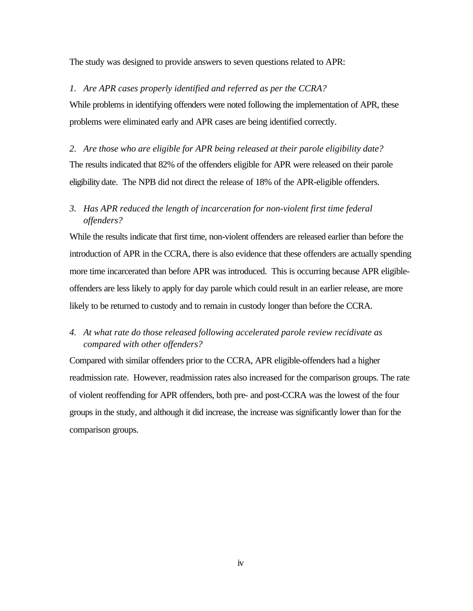The study was designed to provide answers to seven questions related to APR:

#### *1. Are APR cases properly identified and referred as per the CCRA?*

While problems in identifying offenders were noted following the implementation of APR, these problems were eliminated early and APR cases are being identified correctly.

*2. Are those who are eligible for APR being released at their parole eligibility date?* The results indicated that 82% of the offenders eligible for APR were released on their parole eligibility date. The NPB did not direct the release of 18% of the APR-eligible offenders.

## *3. Has APR reduced the length of incarceration for non-violent first time federal offenders?*

While the results indicate that first time, non-violent offenders are released earlier than before the introduction of APR in the CCRA, there is also evidence that these offenders are actually spending more time incarcerated than before APR was introduced. This is occurring because APR eligibleoffenders are less likely to apply for day parole which could result in an earlier release, are more likely to be returned to custody and to remain in custody longer than before the CCRA.

## *4. At what rate do those released following accelerated parole review recidivate as compared with other offenders?*

Compared with similar offenders prior to the CCRA, APR eligible-offenders had a higher readmission rate. However, readmission rates also increased for the comparison groups. The rate of violent reoffending for APR offenders, both pre- and post-CCRA was the lowest of the four groups in the study, and although it did increase, the increase was significantly lower than for the comparison groups.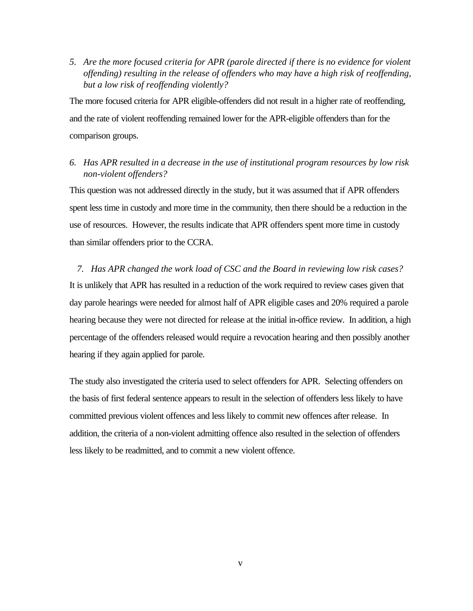*5. Are the more focused criteria for APR (parole directed if there is no evidence for violent offending) resulting in the release of offenders who may have a high risk of reoffending, but a low risk of reoffending violently?*

The more focused criteria for APR eligible-offenders did not result in a higher rate of reoffending, and the rate of violent reoffending remained lower for the APR-eligible offenders than for the comparison groups.

### *6. Has APR resulted in a decrease in the use of institutional program resources by low risk non-violent offenders?*

This question was not addressed directly in the study, but it was assumed that if APR offenders spent less time in custody and more time in the community, then there should be a reduction in the use of resources. However, the results indicate that APR offenders spent more time in custody than similar offenders prior to the CCRA.

*7. Has APR changed the work load of CSC and the Board in reviewing low risk cases?* It is unlikely that APR has resulted in a reduction of the work required to review cases given that day parole hearings were needed for almost half of APR eligible cases and 20% required a parole hearing because they were not directed for release at the initial in-office review. In addition, a high percentage of the offenders released would require a revocation hearing and then possibly another hearing if they again applied for parole.

The study also investigated the criteria used to select offenders for APR. Selecting offenders on the basis of first federal sentence appears to result in the selection of offenders less likely to have committed previous violent offences and less likely to commit new offences after release. In addition, the criteria of a non-violent admitting offence also resulted in the selection of offenders less likely to be readmitted, and to commit a new violent offence.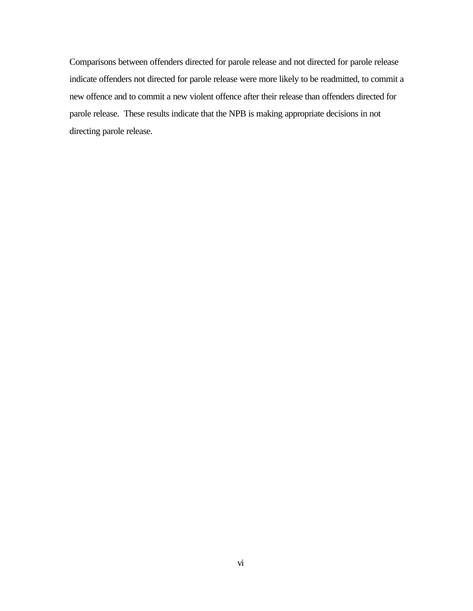Comparisons between offenders directed for parole release and not directed for parole release indicate offenders not directed for parole release were more likely to be readmitted, to commit a new offence and to commit a new violent offence after their release than offenders directed for parole release. These results indicate that the NPB is making appropriate decisions in not directing parole release.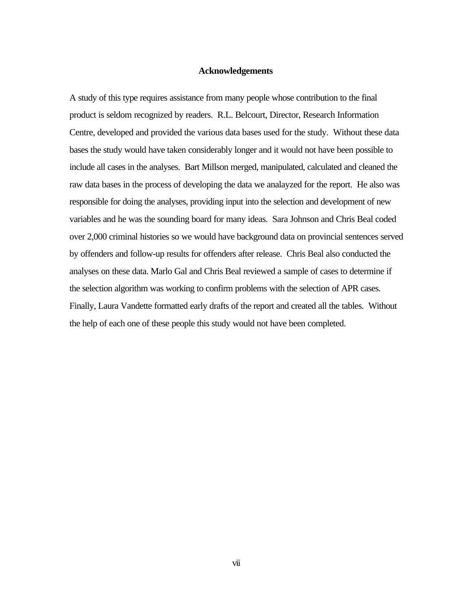### **Acknowledgements**

A study of this type requires assistance from many people whose contribution to the final product is seldom recognized by readers. R.L. Belcourt, Director, Research Information Centre, developed and provided the various data bases used for the study. Without these data bases the study would have taken considerably longer and it would not have been possible to include all cases in the analyses. Bart Millson merged, manipulated, calculated and cleaned the raw data bases in the process of developing the data we analayzed for the report. He also was responsible for doing the analyses, providing input into the selection and development of new variables and he was the sounding board for many ideas. Sara Johnson and Chris Beal coded over 2,000 criminal histories so we would have background data on provincial sentences served by offenders and follow-up results for offenders after release. Chris Beal also conducted the analyses on these data. Marlo Gal and Chris Beal reviewed a sample of cases to determine if the selection algorithm was working to confirm problems with the selection of APR cases. Finally, Laura Vandette formatted early drafts of the report and created all the tables. Without the help of each one of these people this study would not have been completed.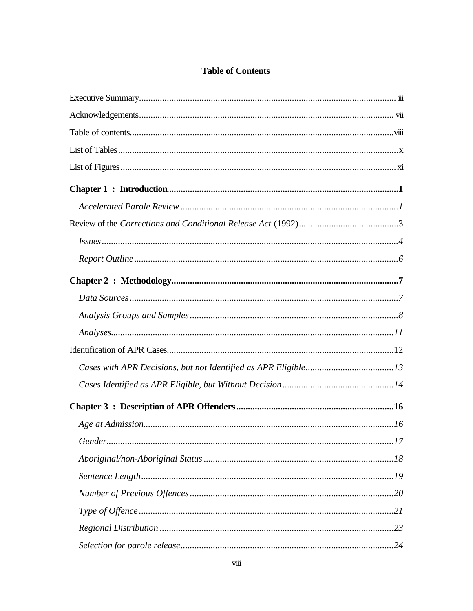## **Table of Contents**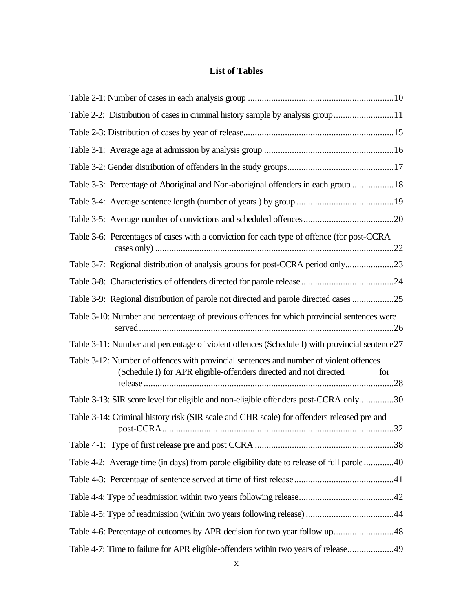## **List of Tables**

| Table 2-2: Distribution of cases in criminal history sample by analysis group 11                                                                                    |
|---------------------------------------------------------------------------------------------------------------------------------------------------------------------|
|                                                                                                                                                                     |
|                                                                                                                                                                     |
|                                                                                                                                                                     |
| Table 3-3: Percentage of Aboriginal and Non-aboriginal offenders in each group 18                                                                                   |
|                                                                                                                                                                     |
|                                                                                                                                                                     |
| Table 3-6: Percentages of cases with a conviction for each type of offence (for post-CCRA                                                                           |
| Table 3-7: Regional distribution of analysis groups for post-CCRA period only                                                                                       |
|                                                                                                                                                                     |
| Table 3-9: Regional distribution of parole not directed and parole directed cases 25                                                                                |
| Table 3-10: Number and percentage of previous offences for which provincial sentences were                                                                          |
| Table 3-11: Number and percentage of violent offences (Schedule I) with provincial sentence 27                                                                      |
| Table 3-12: Number of offences with provincial sentences and number of violent offences<br>(Schedule I) for APR eligible-offenders directed and not directed<br>for |
| Table 3-13: SIR score level for eligible and non-eligible offenders post-CCRA only30                                                                                |
| Table 3-14: Criminal history risk (SIR scale and CHR scale) for offenders released pre and                                                                          |
|                                                                                                                                                                     |
| Table 4-2: Average time (in days) from parole eligibility date to release of full parole 40                                                                         |
|                                                                                                                                                                     |
|                                                                                                                                                                     |
|                                                                                                                                                                     |
| Table 4-6: Percentage of outcomes by APR decision for two year follow up48                                                                                          |
| Table 4-7: Time to failure for APR eligible-offenders within two years of release49                                                                                 |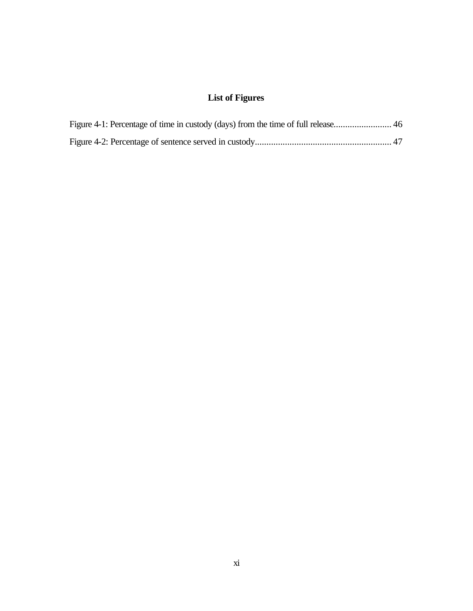## **List of Figures**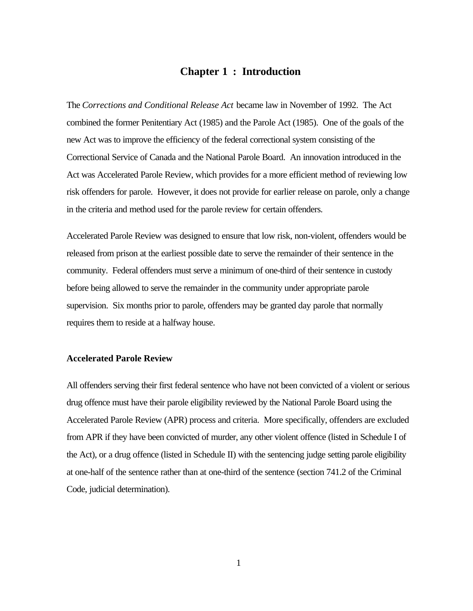## **Chapter 1 : Introduction**

The *Corrections and Conditional Release Act* became law in November of 1992. The Act combined the former Penitentiary Act (1985) and the Parole Act (1985). One of the goals of the new Act was to improve the efficiency of the federal correctional system consisting of the Correctional Service of Canada and the National Parole Board. An innovation introduced in the Act was Accelerated Parole Review, which provides for a more efficient method of reviewing low risk offenders for parole. However, it does not provide for earlier release on parole, only a change in the criteria and method used for the parole review for certain offenders.

Accelerated Parole Review was designed to ensure that low risk, non-violent, offenders would be released from prison at the earliest possible date to serve the remainder of their sentence in the community. Federal offenders must serve a minimum of one-third of their sentence in custody before being allowed to serve the remainder in the community under appropriate parole supervision. Six months prior to parole, offenders may be granted day parole that normally requires them to reside at a halfway house.

#### **Accelerated Parole Review**

All offenders serving their first federal sentence who have not been convicted of a violent or serious drug offence must have their parole eligibility reviewed by the National Parole Board using the Accelerated Parole Review (APR) process and criteria. More specifically, offenders are excluded from APR if they have been convicted of murder, any other violent offence (listed in Schedule I of the Act), or a drug offence (listed in Schedule II) with the sentencing judge setting parole eligibility at one-half of the sentence rather than at one-third of the sentence (section 741.2 of the Criminal Code, judicial determination).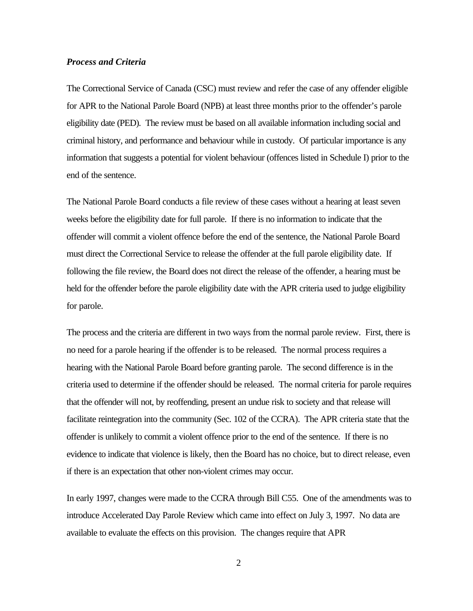#### *Process and Criteria*

The Correctional Service of Canada (CSC) must review and refer the case of any offender eligible for APR to the National Parole Board (NPB) at least three months prior to the offender's parole eligibility date (PED). The review must be based on all available information including social and criminal history, and performance and behaviour while in custody. Of particular importance is any information that suggests a potential for violent behaviour (offences listed in Schedule I) prior to the end of the sentence.

The National Parole Board conducts a file review of these cases without a hearing at least seven weeks before the eligibility date for full parole. If there is no information to indicate that the offender will commit a violent offence before the end of the sentence, the National Parole Board must direct the Correctional Service to release the offender at the full parole eligibility date. If following the file review, the Board does not direct the release of the offender, a hearing must be held for the offender before the parole eligibility date with the APR criteria used to judge eligibility for parole.

The process and the criteria are different in two ways from the normal parole review. First, there is no need for a parole hearing if the offender is to be released. The normal process requires a hearing with the National Parole Board before granting parole. The second difference is in the criteria used to determine if the offender should be released. The normal criteria for parole requires that the offender will not, by reoffending, present an undue risk to society and that release will facilitate reintegration into the community (Sec. 102 of the CCRA). The APR criteria state that the offender is unlikely to commit a violent offence prior to the end of the sentence. If there is no evidence to indicate that violence is likely, then the Board has no choice, but to direct release, even if there is an expectation that other non-violent crimes may occur.

In early 1997, changes were made to the CCRA through Bill C55. One of the amendments was to introduce Accelerated Day Parole Review which came into effect on July 3, 1997. No data are available to evaluate the effects on this provision. The changes require that APR

2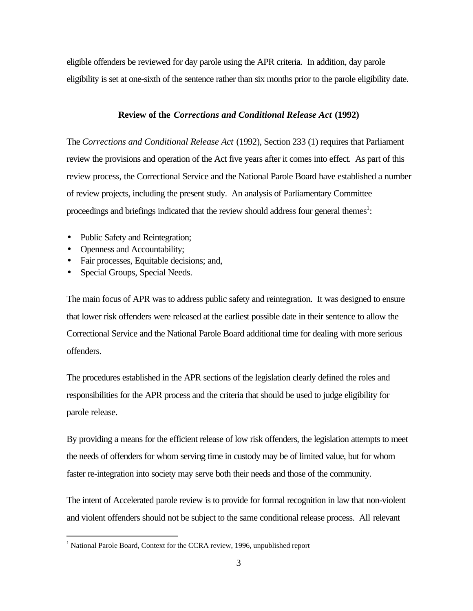eligible offenders be reviewed for day parole using the APR criteria. In addition, day parole eligibility is set at one-sixth of the sentence rather than six months prior to the parole eligibility date.

#### **Review of the** *Corrections and Conditional Release Act* **(1992)**

The *Corrections and Conditional Release Act* (1992), Section 233 (1) requires that Parliament review the provisions and operation of the Act five years after it comes into effect. As part of this review process, the Correctional Service and the National Parole Board have established a number of review projects, including the present study. An analysis of Parliamentary Committee proceedings and briefings indicated that the review should address four general themes<sup>1</sup>:

- Public Safety and Reintegration;
- Openness and Accountability;
- Fair processes, Equitable decisions; and,
- Special Groups, Special Needs.

 $\overline{a}$ 

The main focus of APR was to address public safety and reintegration. It was designed to ensure that lower risk offenders were released at the earliest possible date in their sentence to allow the Correctional Service and the National Parole Board additional time for dealing with more serious offenders.

The procedures established in the APR sections of the legislation clearly defined the roles and responsibilities for the APR process and the criteria that should be used to judge eligibility for parole release.

By providing a means for the efficient release of low risk offenders, the legislation attempts to meet the needs of offenders for whom serving time in custody may be of limited value, but for whom faster re-integration into society may serve both their needs and those of the community.

The intent of Accelerated parole review is to provide for formal recognition in law that non-violent and violent offenders should not be subject to the same conditional release process. All relevant

<sup>&</sup>lt;sup>1</sup> National Parole Board, Context for the CCRA review, 1996, unpublished report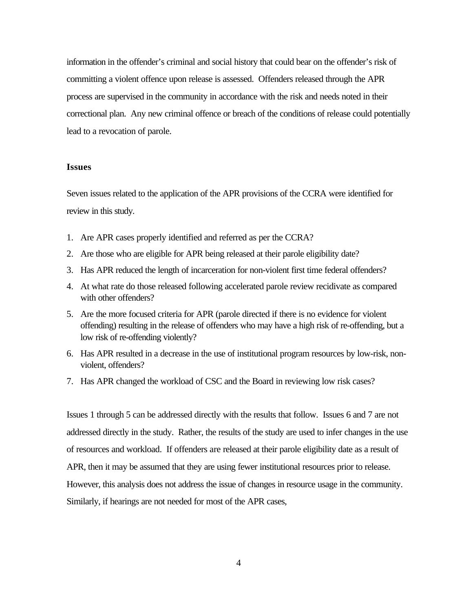information in the offender's criminal and social history that could bear on the offender's risk of committing a violent offence upon release is assessed. Offenders released through the APR process are supervised in the community in accordance with the risk and needs noted in their correctional plan. Any new criminal offence or breach of the conditions of release could potentially lead to a revocation of parole.

#### **Issues**

Seven issues related to the application of the APR provisions of the CCRA were identified for review in this study.

- 1. Are APR cases properly identified and referred as per the CCRA?
- 2. Are those who are eligible for APR being released at their parole eligibility date?
- 3. Has APR reduced the length of incarceration for non-violent first time federal offenders?
- 4. At what rate do those released following accelerated parole review recidivate as compared with other offenders?
- 5. Are the more focused criteria for APR (parole directed if there is no evidence for violent offending) resulting in the release of offenders who may have a high risk of re-offending, but a low risk of re-offending violently?
- 6. Has APR resulted in a decrease in the use of institutional program resources by low-risk, nonviolent, offenders?
- 7. Has APR changed the workload of CSC and the Board in reviewing low risk cases?

Issues 1 through 5 can be addressed directly with the results that follow. Issues 6 and 7 are not addressed directly in the study. Rather, the results of the study are used to infer changes in the use of resources and workload. If offenders are released at their parole eligibility date as a result of APR, then it may be assumed that they are using fewer institutional resources prior to release. However, this analysis does not address the issue of changes in resource usage in the community. Similarly, if hearings are not needed for most of the APR cases,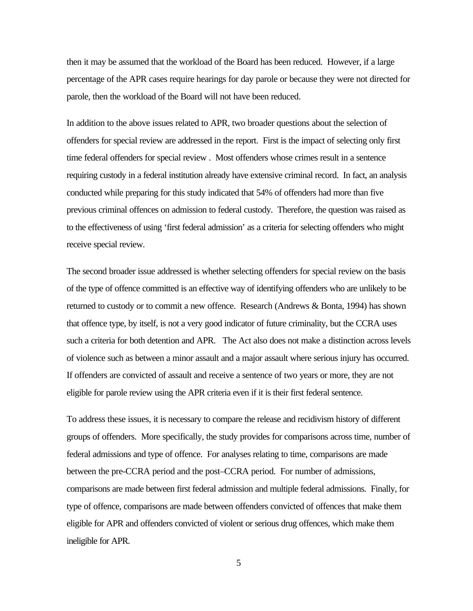then it may be assumed that the workload of the Board has been reduced. However, if a large percentage of the APR cases require hearings for day parole or because they were not directed for parole, then the workload of the Board will not have been reduced.

In addition to the above issues related to APR, two broader questions about the selection of offenders for special review are addressed in the report. First is the impact of selecting only first time federal offenders for special review . Most offenders whose crimes result in a sentence requiring custody in a federal institution already have extensive criminal record. In fact, an analysis conducted while preparing for this study indicated that 54% of offenders had more than five previous criminal offences on admission to federal custody. Therefore, the question was raised as to the effectiveness of using 'first federal admission' as a criteria for selecting offenders who might receive special review.

The second broader issue addressed is whether selecting offenders for special review on the basis of the type of offence committed is an effective way of identifying offenders who are unlikely to be returned to custody or to commit a new offence. Research (Andrews & Bonta, 1994) has shown that offence type, by itself, is not a very good indicator of future criminality, but the CCRA uses such a criteria for both detention and APR. The Act also does not make a distinction across levels of violence such as between a minor assault and a major assault where serious injury has occurred. If offenders are convicted of assault and receive a sentence of two years or more, they are not eligible for parole review using the APR criteria even if it is their first federal sentence.

To address these issues, it is necessary to compare the release and recidivism history of different groups of offenders. More specifically, the study provides for comparisons across time, number of federal admissions and type of offence. For analyses relating to time, comparisons are made between the pre-CCRA period and the post–CCRA period. For number of admissions, comparisons are made between first federal admission and multiple federal admissions. Finally, for type of offence, comparisons are made between offenders convicted of offences that make them eligible for APR and offenders convicted of violent or serious drug offences, which make them ineligible for APR.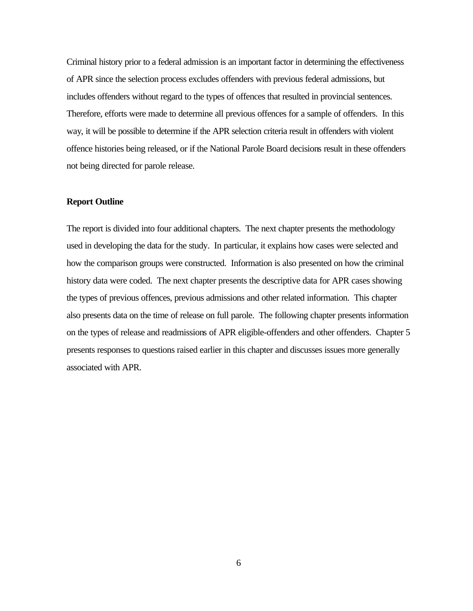Criminal history prior to a federal admission is an important factor in determining the effectiveness of APR since the selection process excludes offenders with previous federal admissions, but includes offenders without regard to the types of offences that resulted in provincial sentences. Therefore, efforts were made to determine all previous offences for a sample of offenders. In this way, it will be possible to determine if the APR selection criteria result in offenders with violent offence histories being released, or if the National Parole Board decisions result in these offenders not being directed for parole release.

#### **Report Outline**

The report is divided into four additional chapters. The next chapter presents the methodology used in developing the data for the study. In particular, it explains how cases were selected and how the comparison groups were constructed. Information is also presented on how the criminal history data were coded. The next chapter presents the descriptive data for APR cases showing the types of previous offences, previous admissions and other related information. This chapter also presents data on the time of release on full parole. The following chapter presents information on the types of release and readmissions of APR eligible-offenders and other offenders. Chapter 5 presents responses to questions raised earlier in this chapter and discusses issues more generally associated with APR.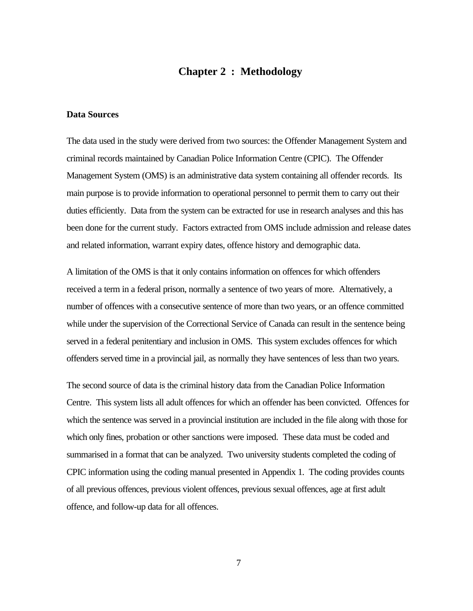## **Chapter 2 : Methodology**

#### **Data Sources**

The data used in the study were derived from two sources: the Offender Management System and criminal records maintained by Canadian Police Information Centre (CPIC). The Offender Management System (OMS) is an administrative data system containing all offender records. Its main purpose is to provide information to operational personnel to permit them to carry out their duties efficiently. Data from the system can be extracted for use in research analyses and this has been done for the current study. Factors extracted from OMS include admission and release dates and related information, warrant expiry dates, offence history and demographic data.

A limitation of the OMS is that it only contains information on offences for which offenders received a term in a federal prison, normally a sentence of two years of more. Alternatively, a number of offences with a consecutive sentence of more than two years, or an offence committed while under the supervision of the Correctional Service of Canada can result in the sentence being served in a federal penitentiary and inclusion in OMS. This system excludes offences for which offenders served time in a provincial jail, as normally they have sentences of less than two years.

The second source of data is the criminal history data from the Canadian Police Information Centre. This system lists all adult offences for which an offender has been convicted. Offences for which the sentence was served in a provincial institution are included in the file along with those for which only fines, probation or other sanctions were imposed. These data must be coded and summarised in a format that can be analyzed. Two university students completed the coding of CPIC information using the coding manual presented in Appendix 1. The coding provides counts of all previous offences, previous violent offences, previous sexual offences, age at first adult offence, and follow-up data for all offences.

7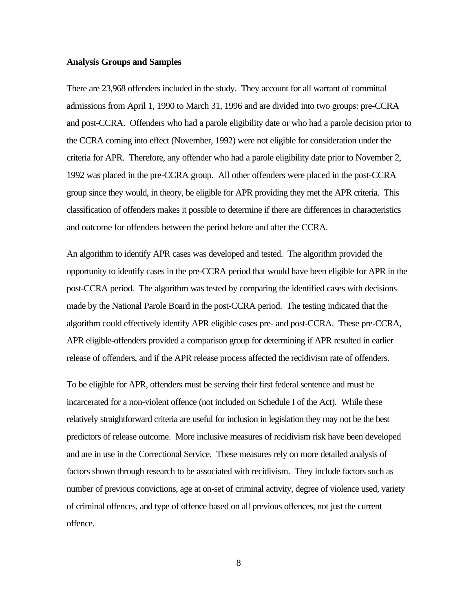#### **Analysis Groups and Samples**

There are 23,968 offenders included in the study. They account for all warrant of committal admissions from April 1, 1990 to March 31, 1996 and are divided into two groups: pre-CCRA and post-CCRA. Offenders who had a parole eligibility date or who had a parole decision prior to the CCRA coming into effect (November, 1992) were not eligible for consideration under the criteria for APR. Therefore, any offender who had a parole eligibility date prior to November 2, 1992 was placed in the pre-CCRA group. All other offenders were placed in the post-CCRA group since they would, in theory, be eligible for APR providing they met the APR criteria. This classification of offenders makes it possible to determine if there are differences in characteristics and outcome for offenders between the period before and after the CCRA.

An algorithm to identify APR cases was developed and tested. The algorithm provided the opportunity to identify cases in the pre-CCRA period that would have been eligible for APR in the post-CCRA period. The algorithm was tested by comparing the identified cases with decisions made by the National Parole Board in the post-CCRA period. The testing indicated that the algorithm could effectively identify APR eligible cases pre- and post-CCRA. These pre-CCRA, APR eligible-offenders provided a comparison group for determining if APR resulted in earlier release of offenders, and if the APR release process affected the recidivism rate of offenders.

To be eligible for APR, offenders must be serving their first federal sentence and must be incarcerated for a non-violent offence (not included on Schedule I of the Act). While these relatively straightforward criteria are useful for inclusion in legislation they may not be the best predictors of release outcome. More inclusive measures of recidivism risk have been developed and are in use in the Correctional Service. These measures rely on more detailed analysis of factors shown through research to be associated with recidivism. They include factors such as number of previous convictions, age at on-set of criminal activity, degree of violence used, variety of criminal offences, and type of offence based on all previous offences, not just the current offence.

8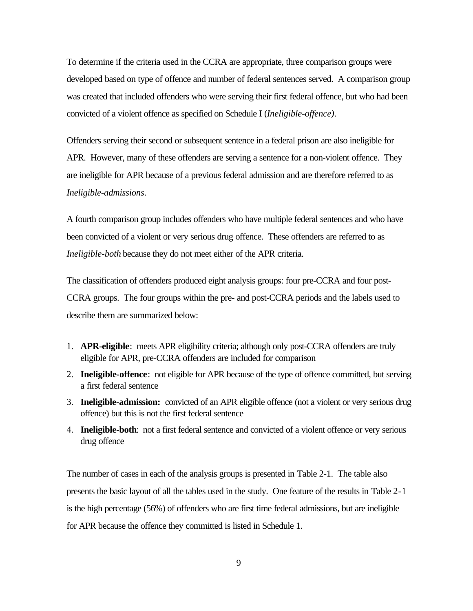To determine if the criteria used in the CCRA are appropriate, three comparison groups were developed based on type of offence and number of federal sentences served. A comparison group was created that included offenders who were serving their first federal offence, but who had been convicted of a violent offence as specified on Schedule I (*Ineligible-offence)*.

Offenders serving their second or subsequent sentence in a federal prison are also ineligible for APR. However, many of these offenders are serving a sentence for a non-violent offence. They are ineligible for APR because of a previous federal admission and are therefore referred to as *Ineligible-admissions*.

A fourth comparison group includes offenders who have multiple federal sentences and who have been convicted of a violent or very serious drug offence. These offenders are referred to as *Ineligible-both* because they do not meet either of the APR criteria.

The classification of offenders produced eight analysis groups: four pre-CCRA and four post-CCRA groups. The four groups within the pre- and post-CCRA periods and the labels used to describe them are summarized below:

- 1. **APR-eligible**: meets APR eligibility criteria; although only post-CCRA offenders are truly eligible for APR, pre-CCRA offenders are included for comparison
- 2. **Ineligible-offence**: not eligible for APR because of the type of offence committed, but serving a first federal sentence
- 3. **Ineligible-admission:** convicted of an APR eligible offence (not a violent or very serious drug offence) but this is not the first federal sentence
- 4. **Ineligible-both**: not a first federal sentence and convicted of a violent offence or very serious drug offence

The number of cases in each of the analysis groups is presented in Table 2-1. The table also presents the basic layout of all the tables used in the study. One feature of the results in Table 2-1 is the high percentage (56%) of offenders who are first time federal admissions, but are ineligible for APR because the offence they committed is listed in Schedule 1.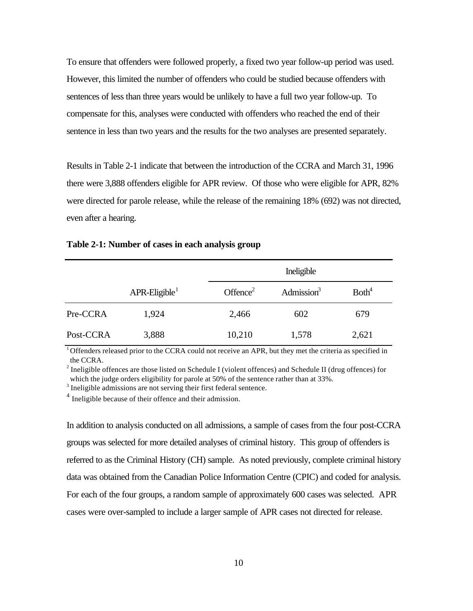To ensure that offenders were followed properly, a fixed two year follow-up period was used. However, this limited the number of offenders who could be studied because offenders with sentences of less than three years would be unlikely to have a full two year follow-up. To compensate for this, analyses were conducted with offenders who reached the end of their sentence in less than two years and the results for the two analyses are presented separately.

Results in Table 2-1 indicate that between the introduction of the CCRA and March 31, 1996 there were 3,888 offenders eligible for APR review. Of those who were eligible for APR, 82% were directed for parole release, while the release of the remaining 18% (692) was not directed, even after a hearing.

|           |                              |                      | Ineligible    |                   |  |
|-----------|------------------------------|----------------------|---------------|-------------------|--|
|           | $APR$ -Eligible <sup>1</sup> | Offence <sup>2</sup> | Admission $3$ | Both <sup>4</sup> |  |
| Pre-CCRA  | 1,924                        | 2,466                | 602           | 679               |  |
| Post-CCRA | 3,888                        | 10,210               | 1,578         | 2,621             |  |

#### **Table 2-1: Number of cases in each analysis group**

 $1$ <sup>1</sup> Offenders released prior to the CCRA could not receive an APR, but they met the criteria as specified in the CCRA.

<sup>2</sup> Ineligible offences are those listed on Schedule I (violent offences) and Schedule II (drug offences) for which the judge orders eligibility for parole at 50% of the sentence rather than at 33%.

 $3$  Ineligible admissions are not serving their first federal sentence.

<sup>4</sup> Ineligible because of their offence and their admission.

In addition to analysis conducted on all admissions, a sample of cases from the four post-CCRA groups was selected for more detailed analyses of criminal history. This group of offenders is referred to as the Criminal History (CH) sample. As noted previously, complete criminal history data was obtained from the Canadian Police Information Centre (CPIC) and coded for analysis. For each of the four groups, a random sample of approximately 600 cases was selected. APR cases were over-sampled to include a larger sample of APR cases not directed for release.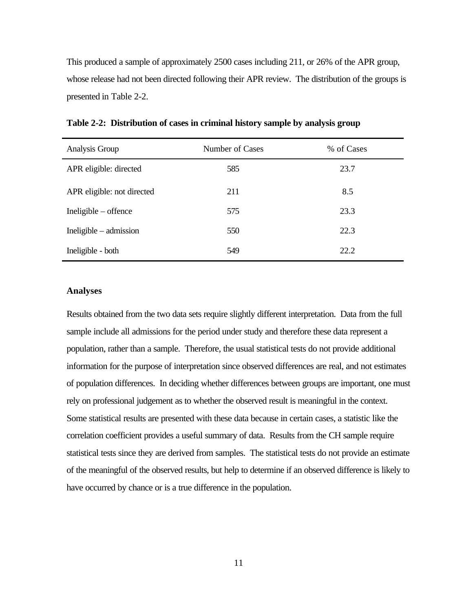This produced a sample of approximately 2500 cases including 211, or 26% of the APR group, whose release had not been directed following their APR review. The distribution of the groups is presented in Table 2-2.

| Analysis Group             | Number of Cases | % of Cases |
|----------------------------|-----------------|------------|
| APR eligible: directed     | 585             | 23.7       |
| APR eligible: not directed | 211             | 8.5        |
| $In$ eligible – offence    | 575             | 23.3       |
| $In$ eligible – admission  | 550             | 22.3       |
| Ineligible - both          | 549             | 22.2       |

**Table 2-2: Distribution of cases in criminal history sample by analysis group**

### **Analyses**

Results obtained from the two data sets require slightly different interpretation. Data from the full sample include all admissions for the period under study and therefore these data represent a population, rather than a sample. Therefore, the usual statistical tests do not provide additional information for the purpose of interpretation since observed differences are real, and not estimates of population differences. In deciding whether differences between groups are important, one must rely on professional judgement as to whether the observed result is meaningful in the context. Some statistical results are presented with these data because in certain cases, a statistic like the correlation coefficient provides a useful summary of data. Results from the CH sample require statistical tests since they are derived from samples. The statistical tests do not provide an estimate of the meaningful of the observed results, but help to determine if an observed difference is likely to have occurred by chance or is a true difference in the population.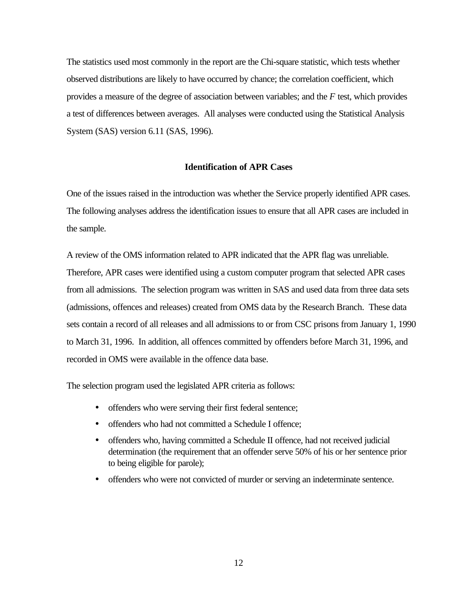The statistics used most commonly in the report are the Chi-square statistic, which tests whether observed distributions are likely to have occurred by chance; the correlation coefficient, which provides a measure of the degree of association between variables; and the *F* test, which provides a test of differences between averages. All analyses were conducted using the Statistical Analysis System (SAS) version 6.11 (SAS, 1996).

### **Identification of APR Cases**

One of the issues raised in the introduction was whether the Service properly identified APR cases. The following analyses address the identification issues to ensure that all APR cases are included in the sample.

A review of the OMS information related to APR indicated that the APR flag was unreliable. Therefore, APR cases were identified using a custom computer program that selected APR cases from all admissions. The selection program was written in SAS and used data from three data sets (admissions, offences and releases) created from OMS data by the Research Branch. These data sets contain a record of all releases and all admissions to or from CSC prisons from January 1, 1990 to March 31, 1996. In addition, all offences committed by offenders before March 31, 1996, and recorded in OMS were available in the offence data base.

The selection program used the legislated APR criteria as follows:

- offenders who were serving their first federal sentence;
- offenders who had not committed a Schedule I offence:
- offenders who, having committed a Schedule II offence, had not received judicial determination (the requirement that an offender serve 50% of his or her sentence prior to being eligible for parole);
- offenders who were not convicted of murder or serving an indeterminate sentence.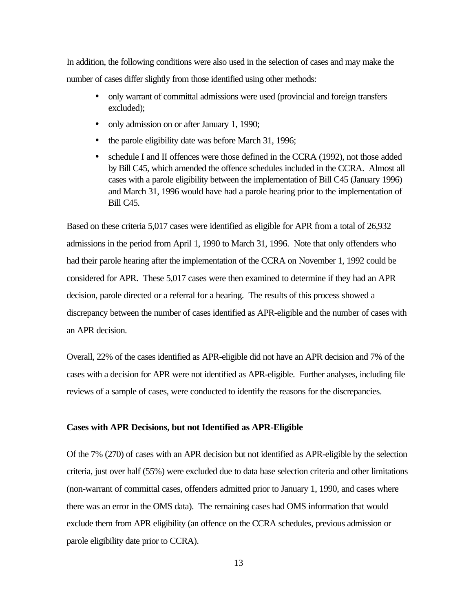In addition, the following conditions were also used in the selection of cases and may make the number of cases differ slightly from those identified using other methods:

- only warrant of committal admissions were used (provincial and foreign transfers excluded);
- only admission on or after January 1, 1990;
- the parole eligibility date was before March 31, 1996;
- schedule I and II offences were those defined in the CCRA (1992), not those added by Bill C45, which amended the offence schedules included in the CCRA. Almost all cases with a parole eligibility between the implementation of Bill C45 (January 1996) and March 31, 1996 would have had a parole hearing prior to the implementation of Bill C45.

Based on these criteria 5,017 cases were identified as eligible for APR from a total of 26,932 admissions in the period from April 1, 1990 to March 31, 1996. Note that only offenders who had their parole hearing after the implementation of the CCRA on November 1, 1992 could be considered for APR. These 5,017 cases were then examined to determine if they had an APR decision, parole directed or a referral for a hearing. The results of this process showed a discrepancy between the number of cases identified as APR-eligible and the number of cases with an APR decision.

Overall, 22% of the cases identified as APR-eligible did not have an APR decision and 7% of the cases with a decision for APR were not identified as APR-eligible. Further analyses, including file reviews of a sample of cases, were conducted to identify the reasons for the discrepancies.

#### **Cases with APR Decisions, but not Identified as APR-Eligible**

Of the 7% (270) of cases with an APR decision but not identified as APR-eligible by the selection criteria, just over half (55%) were excluded due to data base selection criteria and other limitations (non-warrant of committal cases, offenders admitted prior to January 1, 1990, and cases where there was an error in the OMS data). The remaining cases had OMS information that would exclude them from APR eligibility (an offence on the CCRA schedules, previous admission or parole eligibility date prior to CCRA).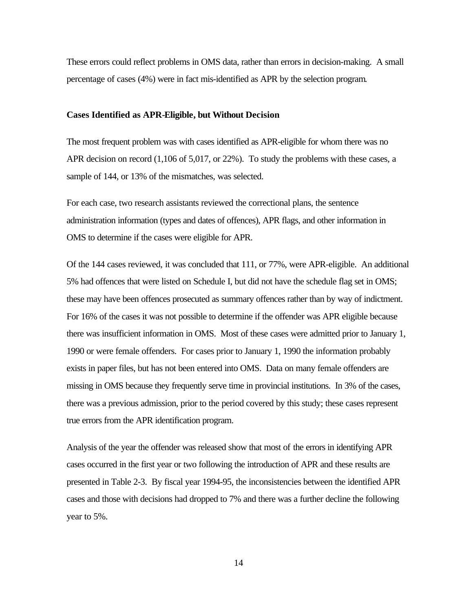These errors could reflect problems in OMS data, rather than errors in decision-making. A small percentage of cases (4%) were in fact mis-identified as APR by the selection program.

#### **Cases Identified as APR-Eligible, but Without Decision**

The most frequent problem was with cases identified as APR-eligible for whom there was no APR decision on record (1,106 of 5,017, or 22%). To study the problems with these cases, a sample of 144, or 13% of the mismatches, was selected.

For each case, two research assistants reviewed the correctional plans, the sentence administration information (types and dates of offences), APR flags, and other information in OMS to determine if the cases were eligible for APR.

Of the 144 cases reviewed, it was concluded that 111, or 77%, were APR-eligible. An additional 5% had offences that were listed on Schedule I, but did not have the schedule flag set in OMS; these may have been offences prosecuted as summary offences rather than by way of indictment. For 16% of the cases it was not possible to determine if the offender was APR eligible because there was insufficient information in OMS. Most of these cases were admitted prior to January 1, 1990 or were female offenders. For cases prior to January 1, 1990 the information probably exists in paper files, but has not been entered into OMS. Data on many female offenders are missing in OMS because they frequently serve time in provincial institutions. In 3% of the cases, there was a previous admission, prior to the period covered by this study; these cases represent true errors from the APR identification program.

Analysis of the year the offender was released show that most of the errors in identifying APR cases occurred in the first year or two following the introduction of APR and these results are presented in Table 2-3. By fiscal year 1994-95, the inconsistencies between the identified APR cases and those with decisions had dropped to 7% and there was a further decline the following year to 5%.

14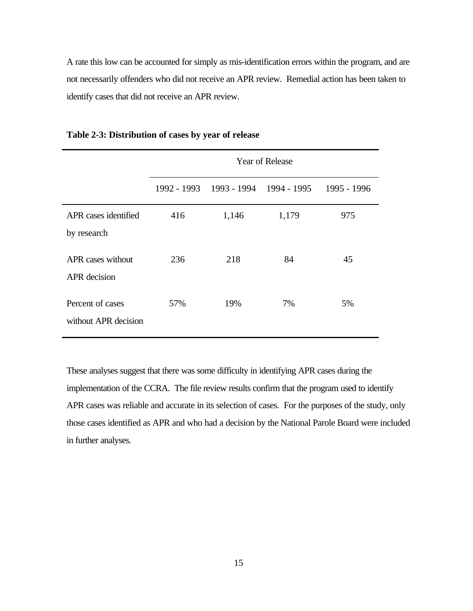A rate this low can be accounted for simply as mis-identification errors within the program, and are not necessarily offenders who did not receive an APR review. Remedial action has been taken to identify cases that did not receive an APR review.

|                                          | <b>Year of Release</b> |       |                                                 |     |  |
|------------------------------------------|------------------------|-------|-------------------------------------------------|-----|--|
|                                          |                        |       | 1992 - 1993 1993 - 1994 1994 - 1995 1995 - 1996 |     |  |
| APR cases identified<br>by research      | 416                    | 1,146 | 1,179                                           | 975 |  |
| APR cases without<br><b>APR</b> decision | 236                    | 218   | 84                                              | 45  |  |
| Percent of cases<br>without APR decision | 57%                    | 19%   | 7%                                              | 5%  |  |

#### **Table 2-3: Distribution of cases by year of release**

These analyses suggest that there was some difficulty in identifying APR cases during the implementation of the CCRA. The file review results confirm that the program used to identify APR cases was reliable and accurate in its selection of cases. For the purposes of the study, only those cases identified as APR and who had a decision by the National Parole Board were included in further analyses.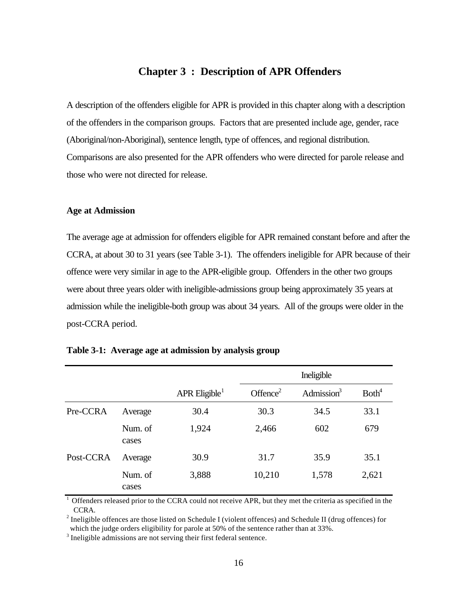## **Chapter 3 : Description of APR Offenders**

A description of the offenders eligible for APR is provided in this chapter along with a description of the offenders in the comparison groups. Factors that are presented include age, gender, race (Aboriginal/non-Aboriginal), sentence length, type of offences, and regional distribution. Comparisons are also presented for the APR offenders who were directed for parole release and those who were not directed for release.

#### **Age at Admission**

The average age at admission for offenders eligible for APR remained constant before and after the CCRA, at about 30 to 31 years (see Table 3-1). The offenders ineligible for APR because of their offence were very similar in age to the APR-eligible group. Offenders in the other two groups were about three years older with ineligible-admissions group being approximately 35 years at admission while the ineligible-both group was about 34 years. All of the groups were older in the post-CCRA period.

|           |                  |                             | Ineligible           |               |                   |
|-----------|------------------|-----------------------------|----------------------|---------------|-------------------|
|           |                  | $APR$ Eligible <sup>1</sup> | Offence <sup>2</sup> | Admission $3$ | Both <sup>4</sup> |
| Pre-CCRA  | Average          | 30.4                        | 30.3                 | 34.5          | 33.1              |
|           | Num. of<br>cases | 1,924                       | 2,466                | 602           | 679               |
| Post-CCRA | Average          | 30.9                        | 31.7                 | 35.9          | 35.1              |
|           | Num. of<br>cases | 3,888                       | 10,210               | 1,578         | 2,621             |

<sup>1</sup> Offenders released prior to the CCRA could not receive APR, but they met the criteria as specified in the CCRA.

<sup>2</sup> Ineligible offences are those listed on Schedule I (violent offences) and Schedule II (drug offences) for which the judge orders eligibility for parole at 50% of the sentence rather than at 33%.

 $3$  Ineligible admissions are not serving their first federal sentence.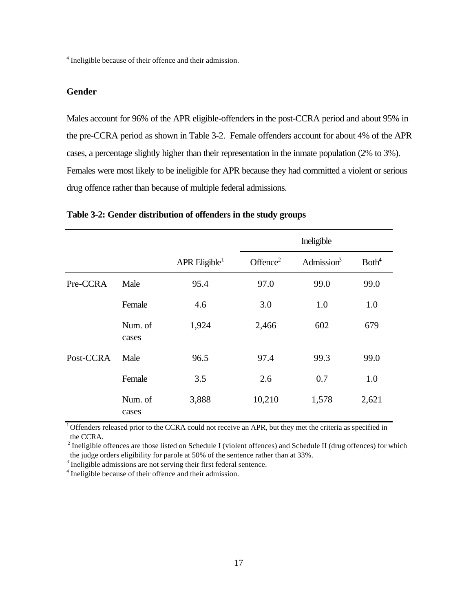<sup>4</sup> Ineligible because of their offence and their admission.

#### **Gender**

Males account for 96% of the APR eligible-offenders in the post-CCRA period and about 95% in the pre-CCRA period as shown in Table 3-2. Female offenders account for about 4% of the APR cases, a percentage slightly higher than their representation in the inmate population (2% to 3%). Females were most likely to be ineligible for APR because they had committed a violent or serious drug offence rather than because of multiple federal admissions.

|           |                  |                           | Ineligible           |               |                   |
|-----------|------------------|---------------------------|----------------------|---------------|-------------------|
|           |                  | APR Eligible <sup>1</sup> | Offence <sup>2</sup> | Admission $3$ | Both <sup>4</sup> |
| Pre-CCRA  | Male             | 95.4                      | 97.0                 | 99.0          | 99.0              |
|           | Female           | 4.6                       | 3.0                  | 1.0           | 1.0               |
|           | Num. of<br>cases | 1,924                     | 2,466                | 602           | 679               |
| Post-CCRA | Male             | 96.5                      | 97.4                 | 99.3          | 99.0              |
|           | Female           | 3.5                       | 2.6                  | 0.7           | 1.0               |
|           | Num. of<br>cases | 3,888                     | 10,210               | 1,578         | 2,621             |

### **Table 3-2: Gender distribution of offenders in the study groups**

<sup>1</sup> Offenders released prior to the CCRA could not receive an APR, but they met the criteria as specified in the CCRA.

 $2$  Ineligible offences are those listed on Schedule I (violent offences) and Schedule II (drug offences) for which the judge orders eligibility for parole at 50% of the sentence rather than at 33%.

 $3$  Ineligible admissions are not serving their first federal sentence.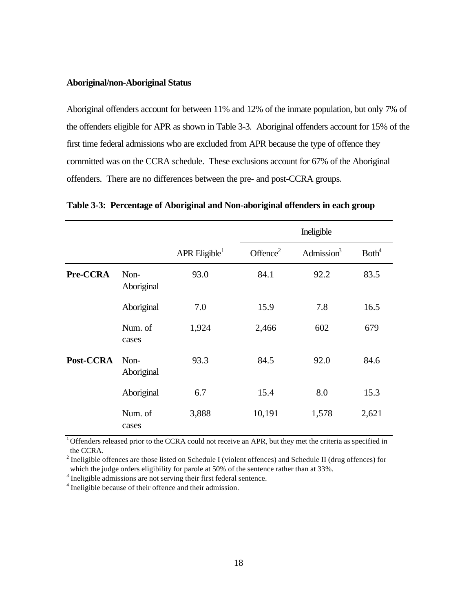#### **Aboriginal/non-Aboriginal Status**

Aboriginal offenders account for between 11% and 12% of the inmate population, but only 7% of the offenders eligible for APR as shown in Table 3-3. Aboriginal offenders account for 15% of the first time federal admissions who are excluded from APR because the type of offence they committed was on the CCRA schedule. These exclusions account for 67% of the Aboriginal offenders. There are no differences between the pre- and post-CCRA groups.

|           |                    |                             | Ineligible  |               |                   |
|-----------|--------------------|-----------------------------|-------------|---------------|-------------------|
|           |                    | $APR$ Eligible <sup>1</sup> | Offence $2$ | Admission $3$ | Both <sup>4</sup> |
| Pre-CCRA  | Non-<br>Aboriginal | 93.0                        | 84.1        | 92.2          | 83.5              |
|           | Aboriginal         | 7.0                         | 15.9        | 7.8           | 16.5              |
|           | Num. of<br>cases   | 1,924                       | 2,466       | 602           | 679               |
| Post-CCRA | Non-<br>Aboriginal | 93.3                        | 84.5        | 92.0          | 84.6              |
|           | Aboriginal         | 6.7                         | 15.4        | 8.0           | 15.3              |
|           | Num. of<br>cases   | 3,888                       | 10,191      | 1,578         | 2,621             |

**Table 3-3: Percentage of Aboriginal and Non-aboriginal offenders in each group**

<sup>1</sup> Offenders released prior to the CCRA could not receive an APR, but they met the criteria as specified in the CCRA.

<sup>2</sup> Ineligible offences are those listed on Schedule I (violent offences) and Schedule II (drug offences) for which the judge orders eligibility for parole at 50% of the sentence rather than at 33%.

 $3$  Ineligible admissions are not serving their first federal sentence.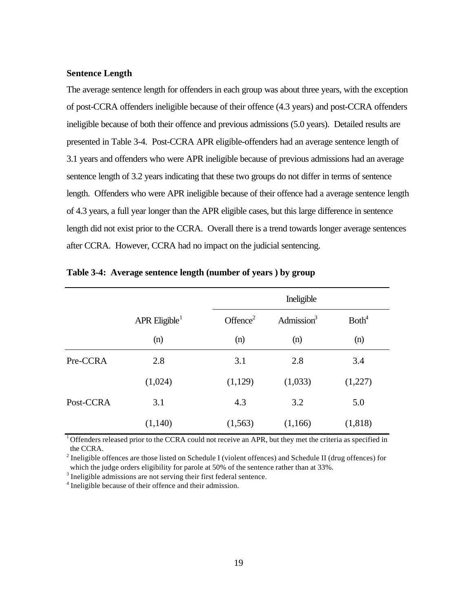#### **Sentence Length**

The average sentence length for offenders in each group was about three years, with the exception of post-CCRA offenders ineligible because of their offence (4.3 years) and post-CCRA offenders ineligible because of both their offence and previous admissions (5.0 years). Detailed results are presented in Table 3-4. Post-CCRA APR eligible-offenders had an average sentence length of 3.1 years and offenders who were APR ineligible because of previous admissions had an average sentence length of 3.2 years indicating that these two groups do not differ in terms of sentence length. Offenders who were APR ineligible because of their offence had a average sentence length of 4.3 years, a full year longer than the APR eligible cases, but this large difference in sentence length did not exist prior to the CCRA. Overall there is a trend towards longer average sentences after CCRA. However, CCRA had no impact on the judicial sentencing.

|           |                             |                      | Ineligible    |                   |  |  |
|-----------|-----------------------------|----------------------|---------------|-------------------|--|--|
|           | $APR$ Eligible <sup>1</sup> | Offence <sup>2</sup> | Admission $3$ | Both <sup>4</sup> |  |  |
|           | (n)                         | (n)                  | (n)           | (n)               |  |  |
| Pre-CCRA  | 2.8                         | 3.1                  | 2.8           | 3.4               |  |  |
|           | (1,024)                     | (1,129)              | (1,033)       | (1,227)           |  |  |
| Post-CCRA | 3.1                         | 4.3                  | 3.2           | 5.0               |  |  |
|           | (1,140)                     | (1, 563)             | (1,166)       | (1,818)           |  |  |

#### **Table 3-4: Average sentence length (number of years ) by group**

 $1$ Offenders released prior to the CCRA could not receive an APR, but they met the criteria as specified in the CCRA.

<sup>2</sup> Ineligible offences are those listed on Schedule I (violent offences) and Schedule II (drug offences) for which the judge orders eligibility for parole at 50% of the sentence rather than at 33%.

 $3$  Ineligible admissions are not serving their first federal sentence.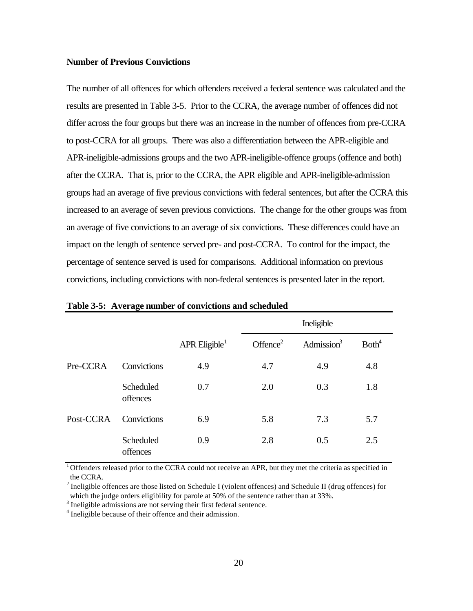#### **Number of Previous Convictions**

The number of all offences for which offenders received a federal sentence was calculated and the results are presented in Table 3-5. Prior to the CCRA, the average number of offences did not differ across the four groups but there was an increase in the number of offences from pre-CCRA to post-CCRA for all groups. There was also a differentiation between the APR-eligible and APR-ineligible-admissions groups and the two APR-ineligible-offence groups (offence and both) after the CCRA. That is, prior to the CCRA, the APR eligible and APR-ineligible-admission groups had an average of five previous convictions with federal sentences, but after the CCRA this increased to an average of seven previous convictions. The change for the other groups was from an average of five convictions to an average of six convictions. These differences could have an impact on the length of sentence served pre- and post-CCRA. To control for the impact, the percentage of sentence served is used for comparisons. Additional information on previous convictions, including convictions with non-federal sentences is presented later in the report.

|           |                       |                             | Ineligible           |               |                   |
|-----------|-----------------------|-----------------------------|----------------------|---------------|-------------------|
|           |                       | $APR$ Eligible <sup>1</sup> | Offence <sup>2</sup> | Admission $3$ | Both <sup>4</sup> |
| Pre-CCRA  | Convictions           | 4.9                         | 4.7                  | 4.9           | 4.8               |
|           | Scheduled<br>offences | 0.7                         | 2.0                  | 0.3           | 1.8               |
| Post-CCRA | Convictions           | 6.9                         | 5.8                  | 7.3           | 5.7               |
|           | Scheduled<br>offences | 0.9                         | 2.8                  | 0.5           | 2.5               |

**Table 3-5: Average number of convictions and scheduled**

 $1$ Offenders released prior to the CCRA could not receive an APR, but they met the criteria as specified in the CCRA.

<sup>2</sup> Ineligible offences are those listed on Schedule I (violent offences) and Schedule II (drug offences) for which the judge orders eligibility for parole at 50% of the sentence rather than at 33%.

 $3$  Ineligible admissions are not serving their first federal sentence.

<sup>&</sup>lt;sup>4</sup> Ineligible because of their offence and their admission.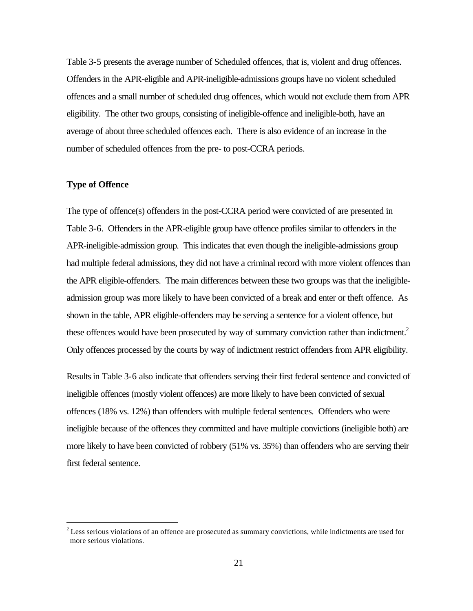Table 3-5 presents the average number of Scheduled offences, that is, violent and drug offences. Offenders in the APR-eligible and APR-ineligible-admissions groups have no violent scheduled offences and a small number of scheduled drug offences, which would not exclude them from APR eligibility. The other two groups, consisting of ineligible-offence and ineligible-both, have an average of about three scheduled offences each. There is also evidence of an increase in the number of scheduled offences from the pre- to post-CCRA periods.

#### **Type of Offence**

 $\overline{a}$ 

The type of offence(s) offenders in the post-CCRA period were convicted of are presented in Table 3-6. Offenders in the APR-eligible group have offence profiles similar to offenders in the APR-ineligible-admission group. This indicates that even though the ineligible-admissions group had multiple federal admissions, they did not have a criminal record with more violent offences than the APR eligible-offenders. The main differences between these two groups was that the ineligibleadmission group was more likely to have been convicted of a break and enter or theft offence. As shown in the table, APR eligible-offenders may be serving a sentence for a violent offence, but these offences would have been prosecuted by way of summary conviction rather than indictment.<sup>2</sup> Only offences processed by the courts by way of indictment restrict offenders from APR eligibility.

Results in Table 3-6 also indicate that offenders serving their first federal sentence and convicted of ineligible offences (mostly violent offences) are more likely to have been convicted of sexual offences (18% vs. 12%) than offenders with multiple federal sentences. Offenders who were ineligible because of the offences they committed and have multiple convictions (ineligible both) are more likely to have been convicted of robbery (51% vs. 35%) than offenders who are serving their first federal sentence.

 $2^{2}$  Less serious violations of an offence are prosecuted as summary convictions, while indictments are used for more serious violations.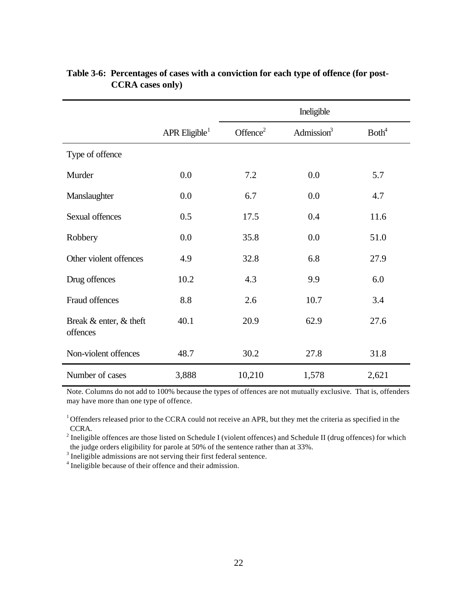|                                    |                             | Ineligible           |               |                   |
|------------------------------------|-----------------------------|----------------------|---------------|-------------------|
|                                    | $APR$ Eligible <sup>1</sup> | Offence <sup>2</sup> | Admission $3$ | Both <sup>4</sup> |
| Type of offence                    |                             |                      |               |                   |
| Murder                             | 0.0                         | 7.2                  | 0.0           | 5.7               |
| Manslaughter                       | 0.0                         | 6.7                  | 0.0           | 4.7               |
| Sexual offences                    | 0.5                         | 17.5                 | 0.4           | 11.6              |
| Robbery                            | 0.0                         | 35.8                 | 0.0           | 51.0              |
| Other violent offences             | 4.9                         | 32.8                 | 6.8           | 27.9              |
| Drug offences                      | 10.2                        | 4.3                  | 9.9           | 6.0               |
| Fraud offences                     | 8.8                         | 2.6                  | 10.7          | 3.4               |
| Break & enter, & theft<br>offences | 40.1                        | 20.9                 | 62.9          | 27.6              |
| Non-violent offences               | 48.7                        | 30.2                 | 27.8          | 31.8              |
| Number of cases                    | 3,888                       | 10,210               | 1,578         | 2,621             |

## **Table 3-6: Percentages of cases with a conviction for each type of offence (for post-CCRA cases only)**

Note. Columns do not add to 100% because the types of offences are not mutually exclusive. That is, offenders may have more than one type of offence.

<sup>1</sup> Offenders released prior to the CCRA could not receive an APR, but they met the criteria as specified in the CCRA.

 $2^{2}$  Ineligible offences are those listed on Schedule I (violent offences) and Schedule II (drug offences) for which the judge orders eligibility for parole at 50% of the sentence rather than at 33%.

 $3$  Ineligible admissions are not serving their first federal sentence.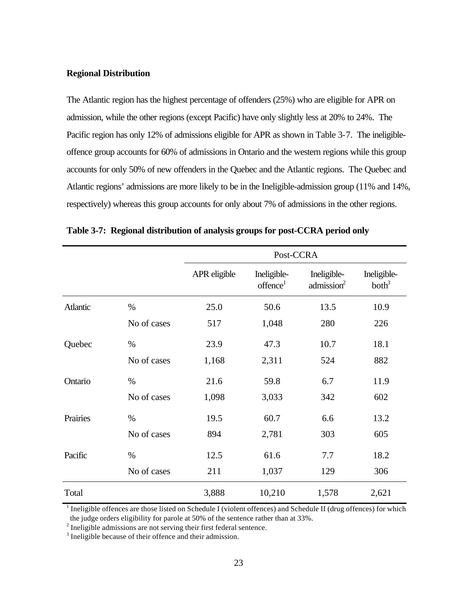#### **Regional Distribution**

The Atlantic region has the highest percentage of offenders (25%) who are eligible for APR on admission, while the other regions (except Pacific) have only slightly less at 20% to 24%. The Pacific region has only 12% of admissions eligible for APR as shown in Table 3-7. The ineligibleoffence group accounts for 60% of admissions in Ontario and the western regions while this group accounts for only 50% of new offenders in the Quebec and the Atlantic regions. The Quebec and Atlantic regions' admissions are more likely to be in the Ineligible-admission group (11% and 14%, respectively) whereas this group accounts for only about 7% of admissions in the other regions.

|          |             | Post-CCRA    |                                     |                                       |                                  |
|----------|-------------|--------------|-------------------------------------|---------------------------------------|----------------------------------|
|          |             | APR eligible | Ineligible-<br>offence <sup>1</sup> | Ineligible-<br>admission <sup>2</sup> | Ineligible-<br>both <sup>3</sup> |
| Atlantic | $\%$        | 25.0         | 50.6                                | 13.5                                  | 10.9                             |
|          | No of cases | 517          | 1,048                               | 280                                   | 226                              |
| Quebec   | $\%$        | 23.9         | 47.3                                | 10.7                                  | 18.1                             |
|          | No of cases | 1,168        | 2,311                               | 524                                   | 882                              |
| Ontario  | %           | 21.6         | 59.8                                | 6.7                                   | 11.9                             |
|          | No of cases | 1,098        | 3,033                               | 342                                   | 602                              |
| Prairies | $\%$        | 19.5         | 60.7                                | 6.6                                   | 13.2                             |
|          | No of cases | 894          | 2,781                               | 303                                   | 605                              |
| Pacific  | %           | 12.5         | 61.6                                | 7.7                                   | 18.2                             |
|          | No of cases | 211          | 1,037                               | 129                                   | 306                              |
| Total    |             | 3,888        | 10,210                              | 1,578                                 | 2,621                            |

**Table 3-7: Regional distribution of analysis groups for post-CCRA period only**

 $1$  Ineligible offences are those listed on Schedule I (violent offences) and Schedule II (drug offences) for which the judge orders eligibility for parole at 50% of the sentence rather than at 33%.

 $2^{2}$  Ineligible admissions are not serving their first federal sentence.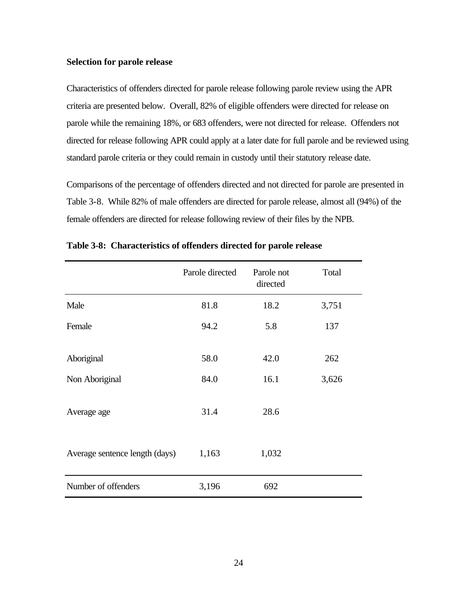#### **Selection for parole release**

Characteristics of offenders directed for parole release following parole review using the APR criteria are presented below. Overall, 82% of eligible offenders were directed for release on parole while the remaining 18%, or 683 offenders, were not directed for release. Offenders not directed for release following APR could apply at a later date for full parole and be reviewed using standard parole criteria or they could remain in custody until their statutory release date.

Comparisons of the percentage of offenders directed and not directed for parole are presented in Table 3-8. While 82% of male offenders are directed for parole release, almost all (94%) of the female offenders are directed for release following review of their files by the NPB.

|                                | Parole directed | Parole not<br>directed | Total |
|--------------------------------|-----------------|------------------------|-------|
| Male                           | 81.8            | 18.2                   | 3,751 |
| Female                         | 94.2            | 5.8                    | 137   |
| Aboriginal                     | 58.0            | 42.0                   | 262   |
| Non Aboriginal                 | 84.0            | 16.1                   | 3,626 |
| Average age                    | 31.4            | 28.6                   |       |
| Average sentence length (days) | 1,163           | 1,032                  |       |
| Number of offenders            | 3,196           | 692                    |       |

**Table 3-8: Characteristics of offenders directed for parole release**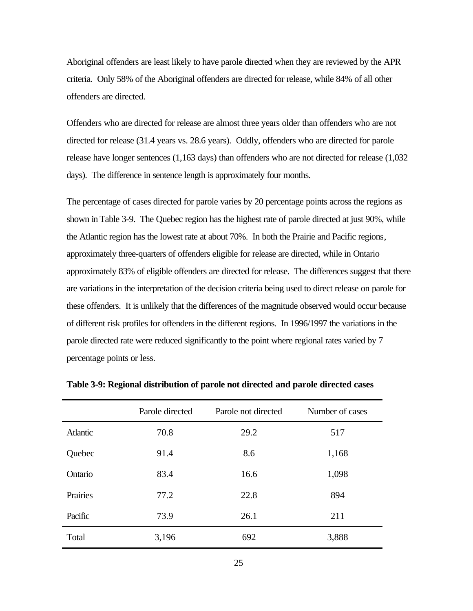Aboriginal offenders are least likely to have parole directed when they are reviewed by the APR criteria. Only 58% of the Aboriginal offenders are directed for release, while 84% of all other offenders are directed.

Offenders who are directed for release are almost three years older than offenders who are not directed for release (31.4 years vs. 28.6 years). Oddly, offenders who are directed for parole release have longer sentences (1,163 days) than offenders who are not directed for release (1,032 days). The difference in sentence length is approximately four months.

The percentage of cases directed for parole varies by 20 percentage points across the regions as shown in Table 3-9. The Quebec region has the highest rate of parole directed at just 90%, while the Atlantic region has the lowest rate at about 70%. In both the Prairie and Pacific regions, approximately three-quarters of offenders eligible for release are directed, while in Ontario approximately 83% of eligible offenders are directed for release. The differences suggest that there are variations in the interpretation of the decision criteria being used to direct release on parole for these offenders. It is unlikely that the differences of the magnitude observed would occur because of different risk profiles for offenders in the different regions. In 1996/1997 the variations in the parole directed rate were reduced significantly to the point where regional rates varied by 7 percentage points or less.

|          | Parole directed | Parole not directed | Number of cases |
|----------|-----------------|---------------------|-----------------|
| Atlantic | 70.8            | 29.2                | 517             |
| Quebec   | 91.4            | 8.6                 | 1,168           |
| Ontario  | 83.4            | 16.6                | 1,098           |
| Prairies | 77.2            | 22.8                | 894             |
| Pacific  | 73.9            | 26.1                | 211             |
| Total    | 3,196           | 692                 | 3,888           |

**Table 3-9: Regional distribution of parole not directed and parole directed cases**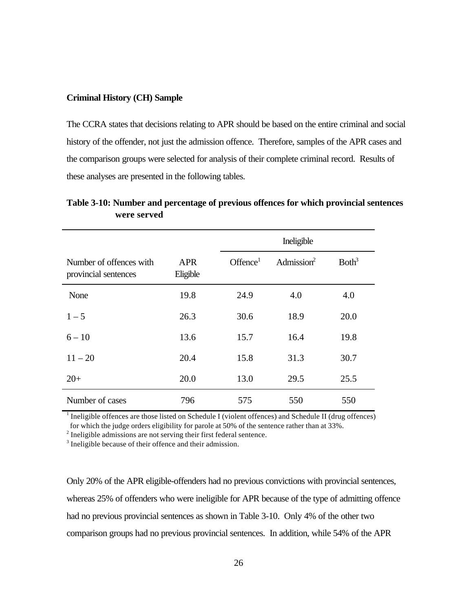#### **Criminal History (CH) Sample**

The CCRA states that decisions relating to APR should be based on the entire criminal and social history of the offender, not just the admission offence. Therefore, samples of the APR cases and the comparison groups were selected for analysis of their complete criminal record. Results of these analyses are presented in the following tables.

**Table 3-10: Number and percentage of previous offences for which provincial sentences were served**

|                                                 |                        |                     | Ineligible             |                   |
|-------------------------------------------------|------------------------|---------------------|------------------------|-------------------|
| Number of offences with<br>provincial sentences | <b>APR</b><br>Eligible | Office <sup>1</sup> | Admission <sup>2</sup> | Both <sup>3</sup> |
| None                                            | 19.8                   | 24.9                | 4.0                    | 4.0               |
| $1 - 5$                                         | 26.3                   | 30.6                | 18.9                   | 20.0              |
| $6 - 10$                                        | 13.6                   | 15.7                | 16.4                   | 19.8              |
| $11 - 20$                                       | 20.4                   | 15.8                | 31.3                   | 30.7              |
| $20+$                                           | 20.0                   | 13.0                | 29.5                   | 25.5              |
| Number of cases                                 | 796                    | 575                 | 550                    | 550               |

 $1$  Ineligible offences are those listed on Schedule I (violent offences) and Schedule II (drug offences) for which the judge orders eligibility for parole at 50% of the sentence rather than at 33%.

 $2^{2}$  Ineligible admissions are not serving their first federal sentence.

<sup>3</sup> Ineligible because of their offence and their admission.

Only 20% of the APR eligible-offenders had no previous convictions with provincial sentences, whereas 25% of offenders who were ineligible for APR because of the type of admitting offence had no previous provincial sentences as shown in Table 3-10. Only 4% of the other two comparison groups had no previous provincial sentences. In addition, while 54% of the APR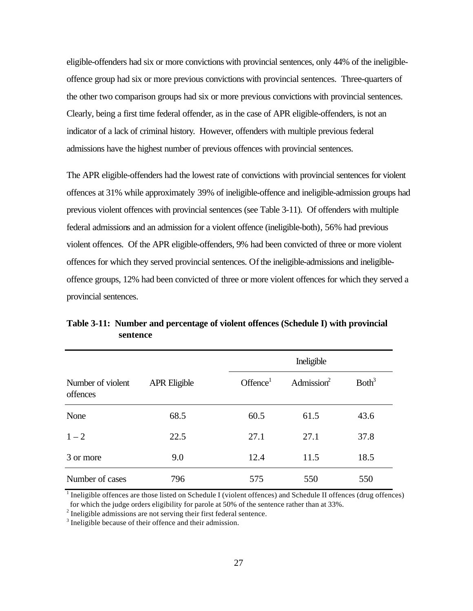eligible-offenders had six or more convictions with provincial sentences, only 44% of the ineligibleoffence group had six or more previous convictions with provincial sentences. Three-quarters of the other two comparison groups had six or more previous convictions with provincial sentences. Clearly, being a first time federal offender, as in the case of APR eligible-offenders, is not an indicator of a lack of criminal history. However, offenders with multiple previous federal admissions have the highest number of previous offences with provincial sentences.

The APR eligible-offenders had the lowest rate of convictions with provincial sentences for violent offences at 31% while approximately 39% of ineligible-offence and ineligible-admission groups had previous violent offences with provincial sentences (see Table 3-11). Of offenders with multiple federal admissions and an admission for a violent offence (ineligible-both), 56% had previous violent offences. Of the APR eligible-offenders, 9% had been convicted of three or more violent offences for which they served provincial sentences. Of the ineligible-admissions and ineligibleoffence groups, 12% had been convicted of three or more violent offences for which they served a provincial sentences.

|                               |                     |                     | Ineligible             |                   |  |
|-------------------------------|---------------------|---------------------|------------------------|-------------------|--|
| Number of violent<br>offences | <b>APR Eligible</b> | Office <sup>1</sup> | Admission <sup>2</sup> | Both <sup>3</sup> |  |
| None                          | 68.5                | 60.5                | 61.5                   | 43.6              |  |
| $1 - 2$                       | 22.5                | 27.1                | 27.1                   | 37.8              |  |
| 3 or more                     | 9.0                 | 12.4                | 11.5                   | 18.5              |  |
| Number of cases               | 796                 | 575                 | 550                    | 550               |  |

**Table 3-11: Number and percentage of violent offences (Schedule I) with provincial sentence**

 $1$  Ineligible offences are those listed on Schedule I (violent offences) and Schedule II offences (drug offences) for which the judge orders eligibility for parole at 50% of the sentence rather than at 33%.

 $2^{2}$  Ineligible admissions are not serving their first federal sentence.

<sup>3</sup> Ineligible because of their offence and their admission.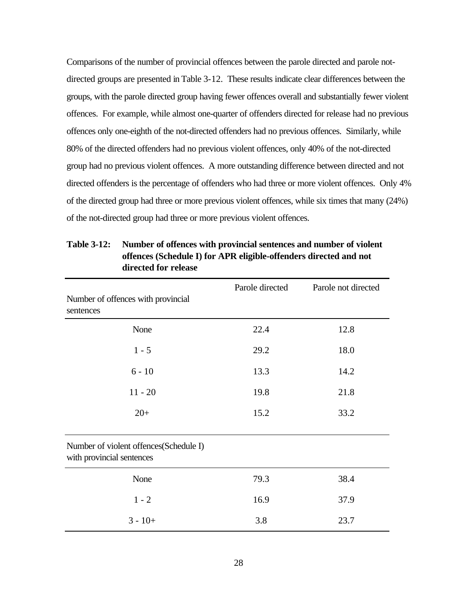Comparisons of the number of provincial offences between the parole directed and parole notdirected groups are presented in Table 3-12. These results indicate clear differences between the groups, with the parole directed group having fewer offences overall and substantially fewer violent offences. For example, while almost one-quarter of offenders directed for release had no previous offences only one-eighth of the not-directed offenders had no previous offences. Similarly, while 80% of the directed offenders had no previous violent offences, only 40% of the not-directed group had no previous violent offences. A more outstanding difference between directed and not directed offenders is the percentage of offenders who had three or more violent offences. Only 4% of the directed group had three or more previous violent offences, while six times that many (24%) of the not-directed group had three or more previous violent offences.

|                                                                     | Parole directed | Parole not directed |
|---------------------------------------------------------------------|-----------------|---------------------|
| Number of offences with provincial<br>sentences                     |                 |                     |
| None                                                                | 22.4            | 12.8                |
| $1 - 5$                                                             | 29.2            | 18.0                |
| $6 - 10$                                                            | 13.3            | 14.2                |
| $11 - 20$                                                           | 19.8            | 21.8                |
| $20+$                                                               | 15.2            | 33.2                |
| Number of violent offences(Schedule I)<br>with provincial sentences |                 |                     |
| None                                                                | 79.3            | 38.4                |
| $1 - 2$                                                             | 16.9            | 37.9                |
| $3 - 10 +$                                                          | 3.8             | 23.7                |

**Table 3-12: Number of offences with provincial sentences and number of violent offences (Schedule I) for APR eligible-offenders directed and not directed for release**

#### 28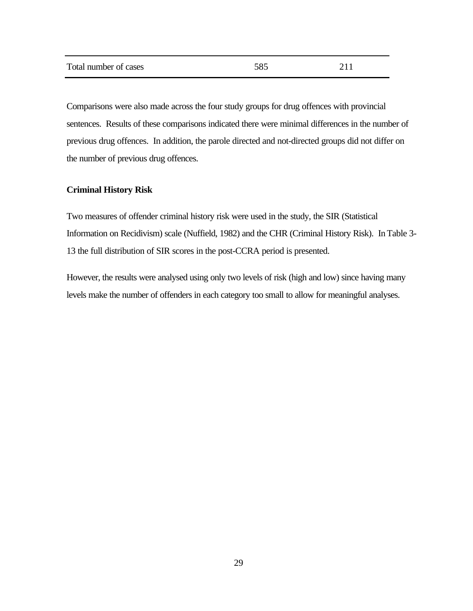| Total number of cases | 585 | 211 |
|-----------------------|-----|-----|
|                       |     |     |

Comparisons were also made across the four study groups for drug offences with provincial sentences. Results of these comparisons indicated there were minimal differences in the number of previous drug offences. In addition, the parole directed and not-directed groups did not differ on the number of previous drug offences.

#### **Criminal History Risk**

Two measures of offender criminal history risk were used in the study, the SIR (Statistical Information on Recidivism) scale (Nuffield, 1982) and the CHR (Criminal History Risk). InTable 3- 13 the full distribution of SIR scores in the post-CCRA period is presented.

However, the results were analysed using only two levels of risk (high and low) since having many levels make the number of offenders in each category too small to allow for meaningful analyses.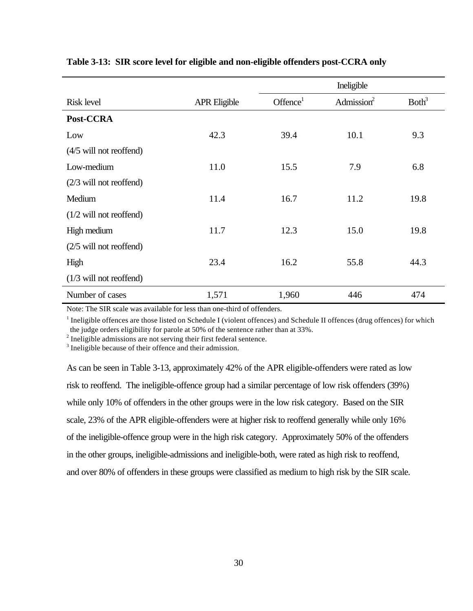|                           |                     | Ineligible          |                        |                   |
|---------------------------|---------------------|---------------------|------------------------|-------------------|
| <b>Risk level</b>         | <b>APR Eligible</b> | Office <sup>1</sup> | Admission <sup>2</sup> | Both <sup>3</sup> |
| Post-CCRA                 |                     |                     |                        |                   |
| Low                       | 42.3                | 39.4                | 10.1                   | 9.3               |
| $(4/5$ will not reoffend) |                     |                     |                        |                   |
| Low-medium                | 11.0                | 15.5                | 7.9                    | 6.8               |
| $(2/3$ will not reoffend) |                     |                     |                        |                   |
| Medium                    | 11.4                | 16.7                | 11.2                   | 19.8              |
| $(1/2$ will not reoffend) |                     |                     |                        |                   |
| High medium               | 11.7                | 12.3                | 15.0                   | 19.8              |
| $(2/5$ will not reoffend) |                     |                     |                        |                   |
| High                      | 23.4                | 16.2                | 55.8                   | 44.3              |
| $(1/3$ will not reoffend) |                     |                     |                        |                   |
| Number of cases           | 1,571               | 1,960               | 446                    | 474               |

### **Table 3-13: SIR score level for eligible and non-eligible offenders post-CCRA only**

Note: The SIR scale was available for less than one-third of offenders.

 $1$  Ineligible offences are those listed on Schedule I (violent offences) and Schedule II offences (drug offences) for which the judge orders eligibility for parole at 50% of the sentence rather than at 33%.

 $2^{2}$  Ineligible admissions are not serving their first federal sentence.

<sup>3</sup> Ineligible because of their offence and their admission.

As can be seen in Table 3-13, approximately 42% of the APR eligible-offenders were rated as low risk to reoffend. The ineligible-offence group had a similar percentage of low risk offenders (39%) while only 10% of offenders in the other groups were in the low risk category. Based on the SIR scale, 23% of the APR eligible-offenders were at higher risk to reoffend generally while only 16% of the ineligible-offence group were in the high risk category. Approximately 50% of the offenders in the other groups, ineligible-admissions and ineligible-both, were rated as high risk to reoffend, and over 80% of offenders in these groups were classified as medium to high risk by the SIR scale.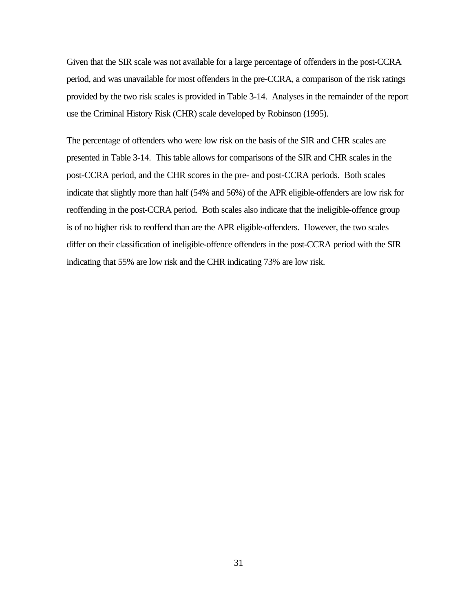Given that the SIR scale was not available for a large percentage of offenders in the post-CCRA period, and was unavailable for most offenders in the pre-CCRA, a comparison of the risk ratings provided by the two risk scales is provided in Table 3-14. Analyses in the remainder of the report use the Criminal History Risk (CHR) scale developed by Robinson (1995).

The percentage of offenders who were low risk on the basis of the SIR and CHR scales are presented in Table 3-14. This table allows for comparisons of the SIR and CHR scales in the post-CCRA period, and the CHR scores in the pre- and post-CCRA periods. Both scales indicate that slightly more than half (54% and 56%) of the APR eligible-offenders are low risk for reoffending in the post-CCRA period. Both scales also indicate that the ineligible-offence group is of no higher risk to reoffend than are the APR eligible-offenders. However, the two scales differ on their classification of ineligible-offence offenders in the post-CCRA period with the SIR indicating that 55% are low risk and the CHR indicating 73% are low risk.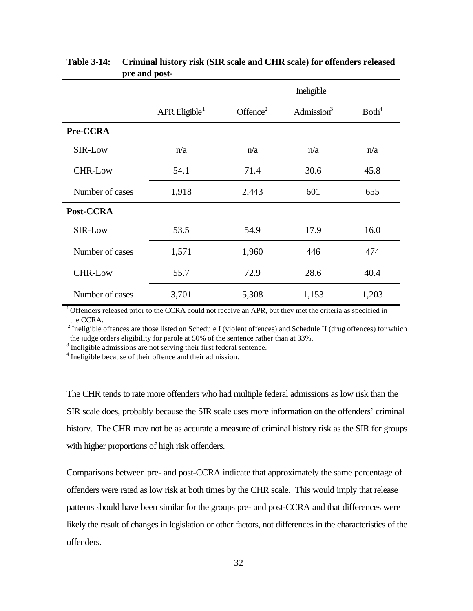|                 |                             | Ineligible           |               |                   |
|-----------------|-----------------------------|----------------------|---------------|-------------------|
|                 | $APR$ Eligible <sup>1</sup> | Offence <sup>2</sup> | Admission $3$ | Both <sup>4</sup> |
| Pre-CCRA        |                             |                      |               |                   |
| SIR-Low         | n/a                         | n/a                  | n/a           | n/a               |
| <b>CHR-Low</b>  | 54.1                        | 71.4                 | 30.6          | 45.8              |
| Number of cases | 1,918                       | 2,443                | 601           | 655               |
| Post-CCRA       |                             |                      |               |                   |
| SIR-Low         | 53.5                        | 54.9                 | 17.9          | 16.0              |
| Number of cases | 1,571                       | 1,960                | 446           | 474               |
| <b>CHR-Low</b>  | 55.7                        | 72.9                 | 28.6          | 40.4              |
| Number of cases | 3,701                       | 5,308                | 1,153         | 1,203             |

# **Table 3-14: Criminal history risk (SIR scale and CHR scale) for offenders released pre and post-**

 $1<sup>1</sup>$  Offenders released prior to the CCRA could not receive an APR, but they met the criteria as specified in the CCRA.

<sup>2</sup> Ineligible offences are those listed on Schedule I (violent offences) and Schedule II (drug offences) for which the judge orders eligibility for parole at 50% of the sentence rather than at 33%.

 $3$  Ineligible admissions are not serving their first federal sentence.

<sup>4</sup> Ineligible because of their offence and their admission.

The CHR tends to rate more offenders who had multiple federal admissions as low risk than the SIR scale does, probably because the SIR scale uses more information on the offenders' criminal history. The CHR may not be as accurate a measure of criminal history risk as the SIR for groups with higher proportions of high risk offenders.

Comparisons between pre- and post-CCRA indicate that approximately the same percentage of offenders were rated as low risk at both times by the CHR scale. This would imply that release patterns should have been similar for the groups pre- and post-CCRA and that differences were likely the result of changes in legislation or other factors, not differences in the characteristics of the offenders.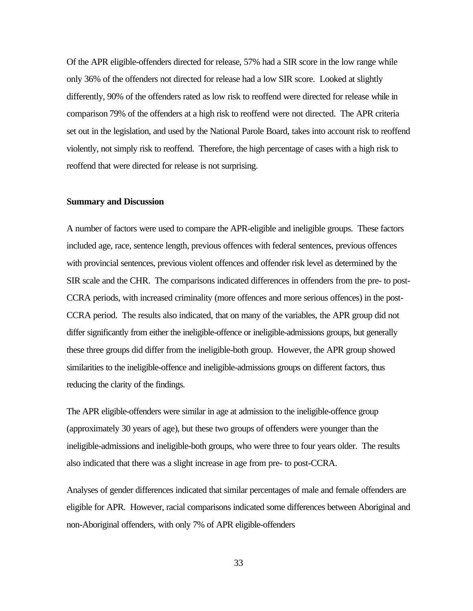Of the APR eligible-offenders directed for release, 57% had a SIR score in the low range while only 36% of the offenders not directed for release had a low SIR score. Looked at slightly differently, 90% of the offenders rated as low risk to reoffend were directed for release while in comparison 79% of the offenders at a high risk to reoffend were not directed. The APR criteria set out in the legislation, and used by the National Parole Board, takes into account risk to reoffend violently, not simply risk to reoffend. Therefore, the high percentage of cases with a high risk to reoffend that were directed for release is not surprising.

#### **Summary and Discussion**

A number of factors were used to compare the APR-eligible and ineligible groups. These factors included age, race, sentence length, previous offences with federal sentences, previous offences with provincial sentences, previous violent offences and offender risk level as determined by the SIR scale and the CHR. The comparisons indicated differences in offenders from the pre- to post-CCRA periods, with increased criminality (more offences and more serious offences) in the post-CCRA period. The results also indicated, that on many of the variables, the APR group did not differ significantly from either the ineligible-offence or ineligible-admissions groups, but generally these three groups did differ from the ineligible-both group. However, the APR group showed similarities to the ineligible-offence and ineligible-admissions groups on different factors, thus reducing the clarity of the findings.

The APR eligible-offenders were similar in age at admission to the ineligible-offence group (approximately 30 years of age), but these two groups of offenders were younger than the ineligible-admissions and ineligible-both groups, who were three to four years older. The results also indicated that there was a slight increase in age from pre- to post-CCRA.

Analyses of gender differences indicated that similar percentages of male and female offenders are eligible for APR. However, racial comparisons indicated some differences between Aboriginal and non-Aboriginal offenders, with only 7% of APR eligible-offenders

33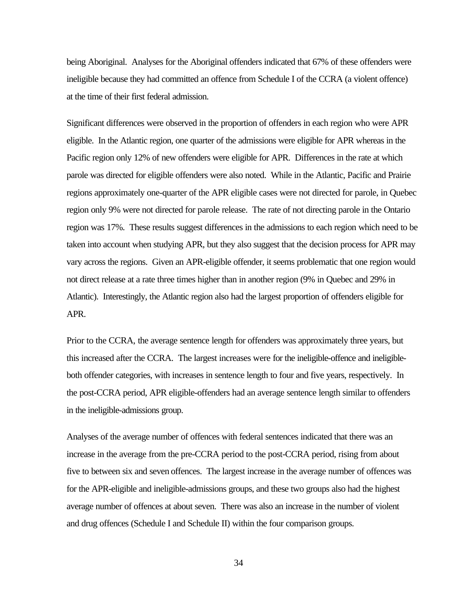being Aboriginal. Analyses for the Aboriginal offenders indicated that 67% of these offenders were ineligible because they had committed an offence from Schedule I of the CCRA (a violent offence) at the time of their first federal admission.

Significant differences were observed in the proportion of offenders in each region who were APR eligible. In the Atlantic region, one quarter of the admissions were eligible for APR whereas in the Pacific region only 12% of new offenders were eligible for APR. Differences in the rate at which parole was directed for eligible offenders were also noted. While in the Atlantic, Pacific and Prairie regions approximately one-quarter of the APR eligible cases were not directed for parole, in Quebec region only 9% were not directed for parole release. The rate of not directing parole in the Ontario region was 17%. These results suggest differences in the admissions to each region which need to be taken into account when studying APR, but they also suggest that the decision process for APR may vary across the regions. Given an APR-eligible offender, it seems problematic that one region would not direct release at a rate three times higher than in another region (9% in Quebec and 29% in Atlantic). Interestingly, the Atlantic region also had the largest proportion of offenders eligible for APR.

Prior to the CCRA, the average sentence length for offenders was approximately three years, but this increased after the CCRA. The largest increases were for the ineligible-offence and ineligibleboth offender categories, with increases in sentence length to four and five years, respectively. In the post-CCRA period, APR eligible-offenders had an average sentence length similar to offenders in the ineligible-admissions group.

Analyses of the average number of offences with federal sentences indicated that there was an increase in the average from the pre-CCRA period to the post-CCRA period, rising from about five to between six and seven offences. The largest increase in the average number of offences was for the APR-eligible and ineligible-admissions groups, and these two groups also had the highest average number of offences at about seven. There was also an increase in the number of violent and drug offences (Schedule I and Schedule II) within the four comparison groups.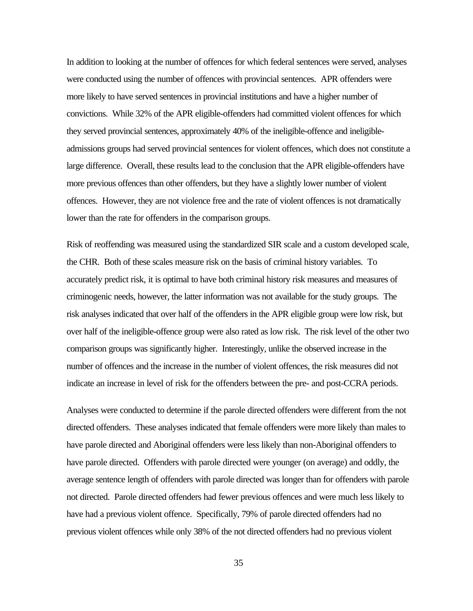In addition to looking at the number of offences for which federal sentences were served, analyses were conducted using the number of offences with provincial sentences. APR offenders were more likely to have served sentences in provincial institutions and have a higher number of convictions. While 32% of the APR eligible-offenders had committed violent offences for which they served provincial sentences, approximately 40% of the ineligible-offence and ineligibleadmissions groups had served provincial sentences for violent offences, which does not constitute a large difference. Overall, these results lead to the conclusion that the APR eligible-offenders have more previous offences than other offenders, but they have a slightly lower number of violent offences. However, they are not violence free and the rate of violent offences is not dramatically lower than the rate for offenders in the comparison groups.

Risk of reoffending was measured using the standardized SIR scale and a custom developed scale, the CHR. Both of these scales measure risk on the basis of criminal history variables. To accurately predict risk, it is optimal to have both criminal history risk measures and measures of criminogenic needs, however, the latter information was not available for the study groups. The risk analyses indicated that over half of the offenders in the APR eligible group were low risk, but over half of the ineligible-offence group were also rated as low risk. The risk level of the other two comparison groups was significantly higher. Interestingly, unlike the observed increase in the number of offences and the increase in the number of violent offences, the risk measures did not indicate an increase in level of risk for the offenders between the pre- and post-CCRA periods.

Analyses were conducted to determine if the parole directed offenders were different from the not directed offenders. These analyses indicated that female offenders were more likely than males to have parole directed and Aboriginal offenders were less likely than non-Aboriginal offenders to have parole directed. Offenders with parole directed were younger (on average) and oddly, the average sentence length of offenders with parole directed was longer than for offenders with parole not directed. Parole directed offenders had fewer previous offences and were much less likely to have had a previous violent offence. Specifically, 79% of parole directed offenders had no previous violent offences while only 38% of the not directed offenders had no previous violent

35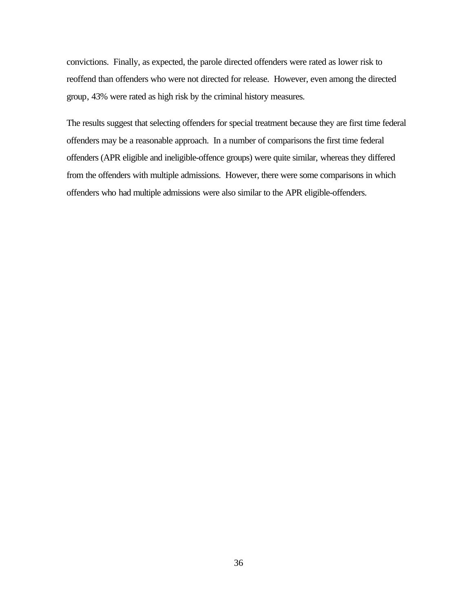convictions. Finally, as expected, the parole directed offenders were rated as lower risk to reoffend than offenders who were not directed for release. However, even among the directed group, 43% were rated as high risk by the criminal history measures.

The results suggest that selecting offenders for special treatment because they are first time federal offenders may be a reasonable approach. In a number of comparisons the first time federal offenders (APR eligible and ineligible-offence groups) were quite similar, whereas they differed from the offenders with multiple admissions. However, there were some comparisons in which offenders who had multiple admissions were also similar to the APR eligible-offenders.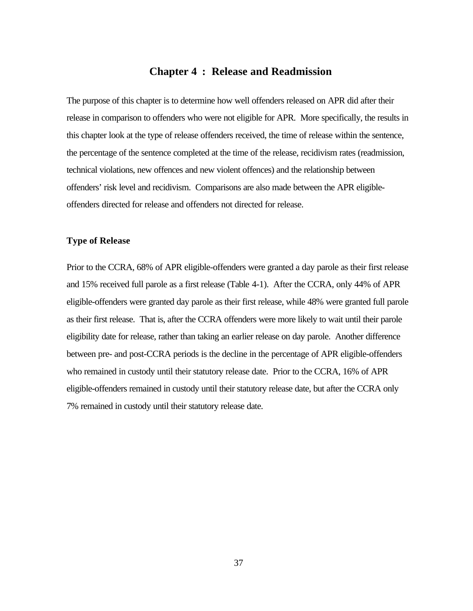## **Chapter 4 : Release and Readmission**

The purpose of this chapter is to determine how well offenders released on APR did after their release in comparison to offenders who were not eligible for APR. More specifically, the results in this chapter look at the type of release offenders received, the time of release within the sentence, the percentage of the sentence completed at the time of the release, recidivism rates (readmission, technical violations, new offences and new violent offences) and the relationship between offenders' risk level and recidivism. Comparisons are also made between the APR eligibleoffenders directed for release and offenders not directed for release.

#### **Type of Release**

Prior to the CCRA, 68% of APR eligible-offenders were granted a day parole as their first release and 15% received full parole as a first release (Table 4-1). After the CCRA, only 44% of APR eligible-offenders were granted day parole as their first release, while 48% were granted full parole as their first release. That is, after the CCRA offenders were more likely to wait until their parole eligibility date for release, rather than taking an earlier release on day parole. Another difference between pre- and post-CCRA periods is the decline in the percentage of APR eligible-offenders who remained in custody until their statutory release date. Prior to the CCRA, 16% of APR eligible-offenders remained in custody until their statutory release date, but after the CCRA only 7% remained in custody until their statutory release date.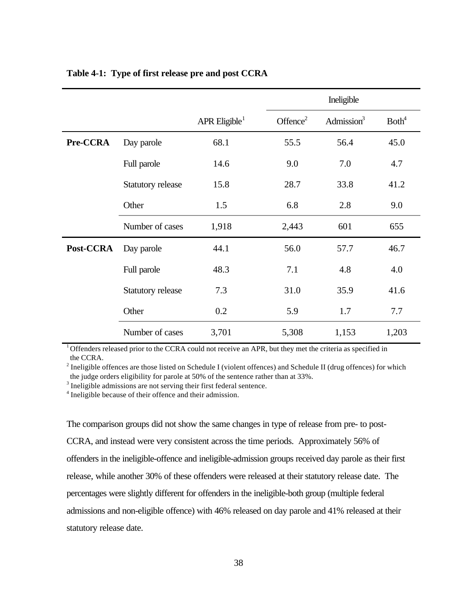|           |                          |                           |             | Ineligible    |                   |
|-----------|--------------------------|---------------------------|-------------|---------------|-------------------|
|           |                          | APR Eligible <sup>1</sup> | Offence $2$ | Admission $3$ | Both <sup>4</sup> |
| Pre-CCRA  | Day parole               | 68.1                      | 55.5        | 56.4          | 45.0              |
|           | Full parole              | 14.6                      | 9.0         | 7.0           | 4.7               |
|           | Statutory release        | 15.8                      | 28.7        | 33.8          | 41.2              |
|           | Other                    | 1.5                       | 6.8         | 2.8           | 9.0               |
|           | Number of cases          | 1,918                     | 2,443       | 601           | 655               |
| Post-CCRA | Day parole               | 44.1                      | 56.0        | 57.7          | 46.7              |
|           | Full parole              | 48.3                      | 7.1         | 4.8           | 4.0               |
|           | <b>Statutory release</b> | 7.3                       | 31.0        | 35.9          | 41.6              |
|           | Other                    | 0.2                       | 5.9         | 1.7           | 7.7               |
|           | Number of cases          | 3,701                     | 5,308       | 1,153         | 1,203             |

# **Table 4-1: Type of first release pre and post CCRA**

 $1<sup>1</sup>$  Offenders released prior to the CCRA could not receive an APR, but they met the criteria as specified in the CCRA.

 $2^{2}$  Ineligible offences are those listed on Schedule I (violent offences) and Schedule II (drug offences) for which the judge orders eligibility for parole at 50% of the sentence rather than at 33%.

 $3$  Ineligible admissions are not serving their first federal sentence.

<sup>4</sup> Ineligible because of their offence and their admission.

The comparison groups did not show the same changes in type of release from pre- to post-

CCRA, and instead were very consistent across the time periods. Approximately 56% of offenders in the ineligible-offence and ineligible-admission groups received day parole as their first release, while another 30% of these offenders were released at their statutory release date. The percentages were slightly different for offenders in the ineligible-both group (multiple federal admissions and non-eligible offence) with 46% released on day parole and 41% released at their statutory release date.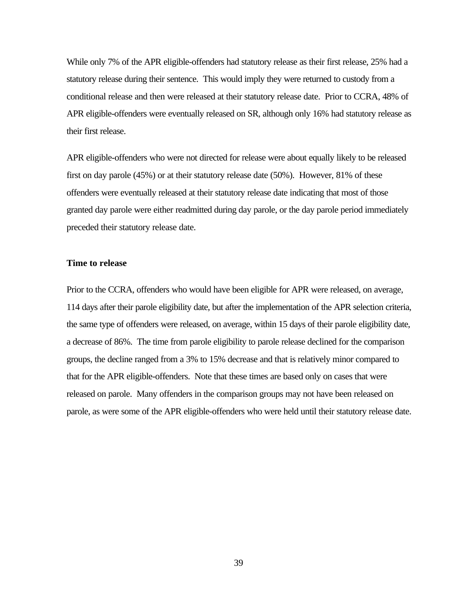While only 7% of the APR eligible-offenders had statutory release as their first release, 25% had a statutory release during their sentence. This would imply they were returned to custody from a conditional release and then were released at their statutory release date. Prior to CCRA, 48% of APR eligible-offenders were eventually released on SR, although only 16% had statutory release as their first release.

APR eligible-offenders who were not directed for release were about equally likely to be released first on day parole (45%) or at their statutory release date (50%). However, 81% of these offenders were eventually released at their statutory release date indicating that most of those granted day parole were either readmitted during day parole, or the day parole period immediately preceded their statutory release date.

#### **Time to release**

Prior to the CCRA, offenders who would have been eligible for APR were released, on average, 114 days after their parole eligibility date, but after the implementation of the APR selection criteria, the same type of offenders were released, on average, within 15 days of their parole eligibility date, a decrease of 86%. The time from parole eligibility to parole release declined for the comparison groups, the decline ranged from a 3% to 15% decrease and that is relatively minor compared to that for the APR eligible-offenders. Note that these times are based only on cases that were released on parole. Many offenders in the comparison groups may not have been released on parole, as were some of the APR eligible-offenders who were held until their statutory release date.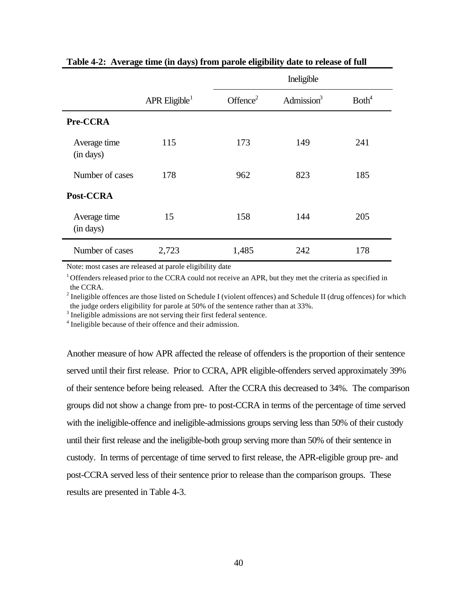|                           |                             | Ineligible           |               |                   |  |
|---------------------------|-----------------------------|----------------------|---------------|-------------------|--|
|                           | $APR$ Eligible <sup>1</sup> | Offence <sup>2</sup> | Admission $3$ | Both <sup>4</sup> |  |
| Pre-CCRA                  |                             |                      |               |                   |  |
| Average time<br>(in days) | 115                         | 173                  | 149           | 241               |  |
| Number of cases           | 178                         | 962                  | 823           | 185               |  |
| Post-CCRA                 |                             |                      |               |                   |  |
| Average time<br>(in days) | 15                          | 158                  | 144           | 205               |  |
| Number of cases           | 2,723                       | 1,485                | 242           | 178               |  |

**Table 4-2: Average time (in days) from parole eligibility date to release of full**

Note: most cases are released at parole eligibility date

<sup>1</sup> Offenders released prior to the CCRA could not receive an APR, but they met the criteria as specified in the CCRA.

 $2^{2}$  Ineligible offences are those listed on Schedule I (violent offences) and Schedule II (drug offences) for which the judge orders eligibility for parole at 50% of the sentence rather than at 33%.

 $3$  Ineligible admissions are not serving their first federal sentence.

<sup>4</sup> Ineligible because of their offence and their admission.

Another measure of how APR affected the release of offenders is the proportion of their sentence served until their first release. Prior to CCRA, APR eligible-offenders served approximately 39% of their sentence before being released. After the CCRA this decreased to 34%. The comparison groups did not show a change from pre- to post-CCRA in terms of the percentage of time served with the ineligible-offence and ineligible-admissions groups serving less than 50% of their custody until their first release and the ineligible-both group serving more than 50% of their sentence in custody. In terms of percentage of time served to first release, the APR-eligible group pre- and post-CCRA served less of their sentence prior to release than the comparison groups. These results are presented in Table 4-3.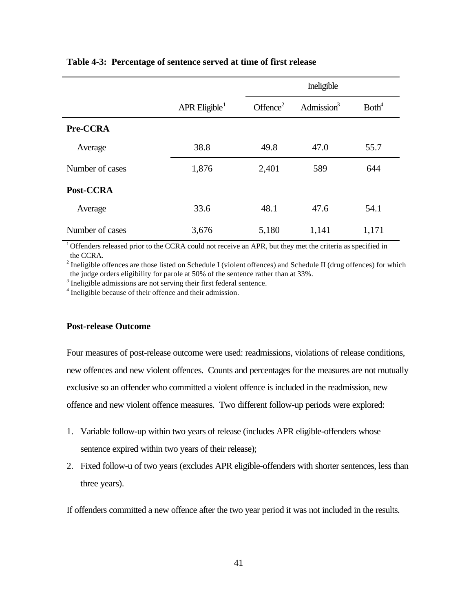|                 |                           | Ineligible           |               |                   |
|-----------------|---------------------------|----------------------|---------------|-------------------|
|                 | APR Eligible <sup>1</sup> | Offence <sup>2</sup> | Admission $3$ | Both <sup>4</sup> |
| Pre-CCRA        |                           |                      |               |                   |
| Average         | 38.8                      | 49.8                 | 47.0          | 55.7              |
| Number of cases | 1,876                     | 2,401                | 589           | 644               |
| Post-CCRA       |                           |                      |               |                   |
| Average         | 33.6                      | 48.1                 | 47.6          | 54.1              |
| Number of cases | 3,676                     | 5,180                | 1,141         | 1,171             |

#### **Table 4-3: Percentage of sentence served at time of first release**

<sup>1</sup> Offenders released prior to the CCRA could not receive an APR, but they met the criteria as specified in the CCRA.

 $2^{2}$  Ineligible offences are those listed on Schedule I (violent offences) and Schedule II (drug offences) for which the judge orders eligibility for parole at 50% of the sentence rather than at 33%.

 $3$  Ineligible admissions are not serving their first federal sentence.

<sup>4</sup> Ineligible because of their offence and their admission.

#### **Post-release Outcome**

Four measures of post-release outcome were used: readmissions, violations of release conditions, new offences and new violent offences. Counts and percentages for the measures are not mutually exclusive so an offender who committed a violent offence is included in the readmission, new offence and new violent offence measures. Two different follow-up periods were explored:

- 1. Variable follow-up within two years of release (includes APR eligible-offenders whose sentence expired within two years of their release);
- 2. Fixed follow-u of two years (excludes APR eligible-offenders with shorter sentences, less than three years).

If offenders committed a new offence after the two year period it was not included in the results.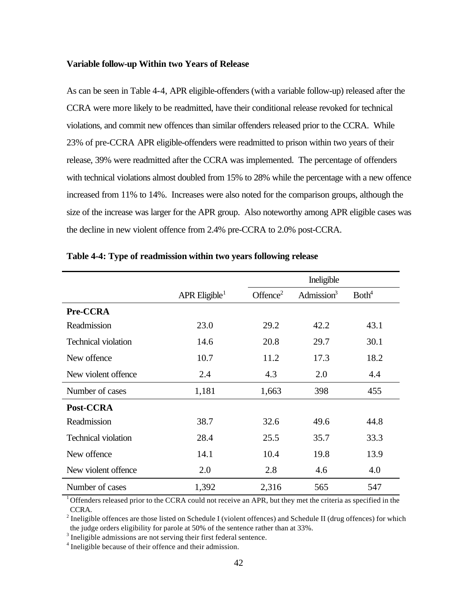#### **Variable follow-up Within two Years of Release**

As can be seen in Table 4-4, APR eligible-offenders (with a variable follow-up) released after the CCRA were more likely to be readmitted, have their conditional release revoked for technical violations, and commit new offences than similar offenders released prior to the CCRA. While 23% of pre-CCRA APR eligible-offenders were readmitted to prison within two years of their release, 39% were readmitted after the CCRA was implemented. The percentage of offenders with technical violations almost doubled from 15% to 28% while the percentage with a new offence increased from 11% to 14%. Increases were also noted for the comparison groups, although the size of the increase was larger for the APR group. Also noteworthy among APR eligible cases was the decline in new violent offence from 2.4% pre-CCRA to 2.0% post-CCRA.

|                            |                             |             | Ineligible    |                   |  |
|----------------------------|-----------------------------|-------------|---------------|-------------------|--|
|                            | $APR$ Eligible <sup>1</sup> | Offence $2$ | Admission $3$ | Both <sup>4</sup> |  |
| Pre-CCRA                   |                             |             |               |                   |  |
| Readmission                | 23.0                        | 29.2        | 42.2          | 43.1              |  |
| <b>Technical violation</b> | 14.6                        | 20.8        | 29.7          | 30.1              |  |
| New offence                | 10.7                        | 11.2        | 17.3          | 18.2              |  |
| New violent offence        | 2.4                         | 4.3         | 2.0           | 4.4               |  |
| Number of cases            | 1,181                       | 1,663       | 398           | 455               |  |
| Post-CCRA                  |                             |             |               |                   |  |
| Readmission                | 38.7                        | 32.6        | 49.6          | 44.8              |  |
| <b>Technical violation</b> | 28.4                        | 25.5        | 35.7          | 33.3              |  |
| New offence                | 14.1                        | 10.4        | 19.8          | 13.9              |  |
| New violent offence        | 2.0                         | 2.8         | 4.6           | 4.0               |  |
| Number of cases            | 1,392                       | 2,316       | 565           | 547               |  |

|  | Table 4-4: Type of readmission within two years following release |  |  |
|--|-------------------------------------------------------------------|--|--|
|  |                                                                   |  |  |

<sup>1</sup>Offenders released prior to the CCRA could not receive an APR, but they met the criteria as specified in the CCRA.

 $2^{2}$  Ineligible offences are those listed on Schedule I (violent offences) and Schedule II (drug offences) for which the judge orders eligibility for parole at 50% of the sentence rather than at 33%.

 $3$  Ineligible admissions are not serving their first federal sentence.

<sup>4</sup> Ineligible because of their offence and their admission.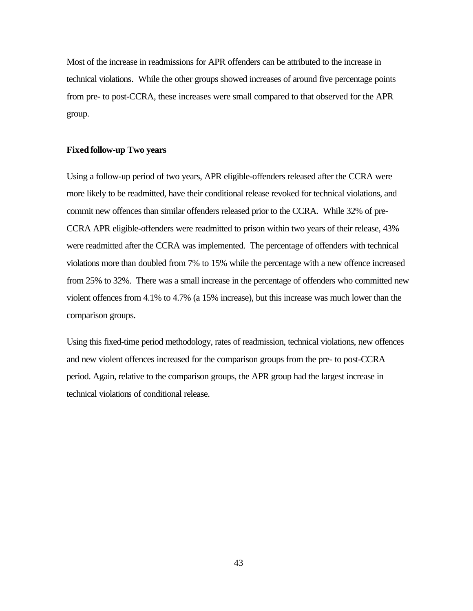Most of the increase in readmissions for APR offenders can be attributed to the increase in technical violations. While the other groups showed increases of around five percentage points from pre- to post-CCRA, these increases were small compared to that observed for the APR group.

#### **Fixed follow-up Two years**

Using a follow-up period of two years, APR eligible-offenders released after the CCRA were more likely to be readmitted, have their conditional release revoked for technical violations, and commit new offences than similar offenders released prior to the CCRA. While 32% of pre-CCRA APR eligible-offenders were readmitted to prison within two years of their release, 43% were readmitted after the CCRA was implemented. The percentage of offenders with technical violations more than doubled from 7% to 15% while the percentage with a new offence increased from 25% to 32%. There was a small increase in the percentage of offenders who committed new violent offences from 4.1% to 4.7% (a 15% increase), but this increase was much lower than the comparison groups.

Using this fixed-time period methodology, rates of readmission, technical violations, new offences and new violent offences increased for the comparison groups from the pre- to post-CCRA period. Again, relative to the comparison groups, the APR group had the largest increase in technical violations of conditional release.

43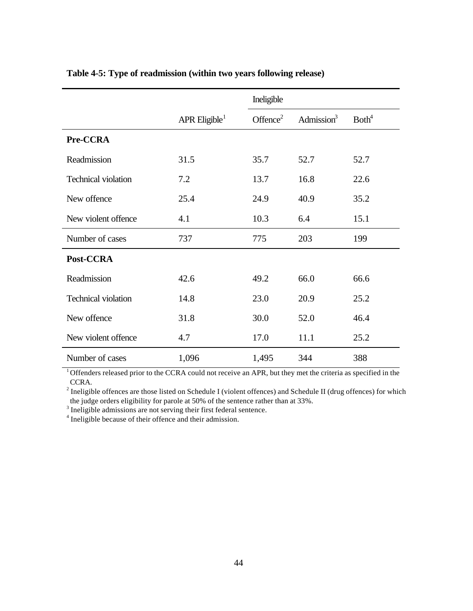|                            |                             | Ineligible           |               |                   |
|----------------------------|-----------------------------|----------------------|---------------|-------------------|
|                            | $APR$ Eligible <sup>1</sup> | Offence <sup>2</sup> | Admission $3$ | Both <sup>4</sup> |
| Pre-CCRA                   |                             |                      |               |                   |
| Readmission                | 31.5                        | 35.7                 | 52.7          | 52.7              |
| <b>Technical violation</b> | 7.2                         | 13.7                 | 16.8          | 22.6              |
| New offence                | 25.4                        | 24.9                 | 40.9          | 35.2              |
| New violent offence        | 4.1                         | 10.3                 | 6.4           | 15.1              |
| Number of cases            | 737                         | 775                  | 203           | 199               |
| Post-CCRA                  |                             |                      |               |                   |
| Readmission                | 42.6                        | 49.2                 | 66.0          | 66.6              |
| <b>Technical violation</b> | 14.8                        | 23.0                 | 20.9          | 25.2              |
| New offence                | 31.8                        | 30.0                 | 52.0          | 46.4              |
| New violent offence        | 4.7                         | 17.0                 | 11.1          | 25.2              |
| Number of cases            | 1,096                       | 1,495                | 344           | 388               |

# **Table 4-5: Type of readmission (within two years following release)**

<sup>1</sup> Offenders released prior to the CCRA could not receive an APR, but they met the criteria as specified in the CCRA.

 $2^{2}$  Ineligible offences are those listed on Schedule I (violent offences) and Schedule II (drug offences) for which the judge orders eligibility for parole at 50% of the sentence rather than at 33%.

 $3$  Ineligible admissions are not serving their first federal sentence.

<sup>4</sup> Ineligible because of their offence and their admission.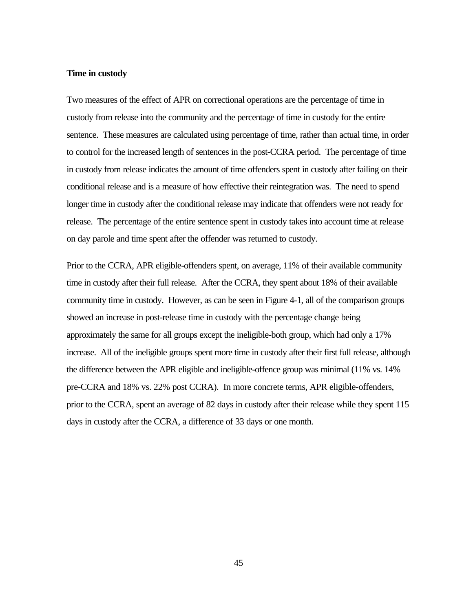#### **Time in custody**

Two measures of the effect of APR on correctional operations are the percentage of time in custody from release into the community and the percentage of time in custody for the entire sentence. These measures are calculated using percentage of time, rather than actual time, in order to control for the increased length of sentences in the post-CCRA period. The percentage of time in custody from release indicates the amount of time offenders spent in custody after failing on their conditional release and is a measure of how effective their reintegration was. The need to spend longer time in custody after the conditional release may indicate that offenders were not ready for release. The percentage of the entire sentence spent in custody takes into account time at release on day parole and time spent after the offender was returned to custody.

Prior to the CCRA, APR eligible-offenders spent, on average, 11% of their available community time in custody after their full release. After the CCRA, they spent about 18% of their available community time in custody. However, as can be seen in Figure 4-1, all of the comparison groups showed an increase in post-release time in custody with the percentage change being approximately the same for all groups except the ineligible-both group, which had only a 17% increase. All of the ineligible groups spent more time in custody after their first full release, although the difference between the APR eligible and ineligible-offence group was minimal (11% vs. 14% pre-CCRA and 18% vs. 22% post CCRA). In more concrete terms, APR eligible-offenders, prior to the CCRA, spent an average of 82 days in custody after their release while they spent 115 days in custody after the CCRA, a difference of 33 days or one month.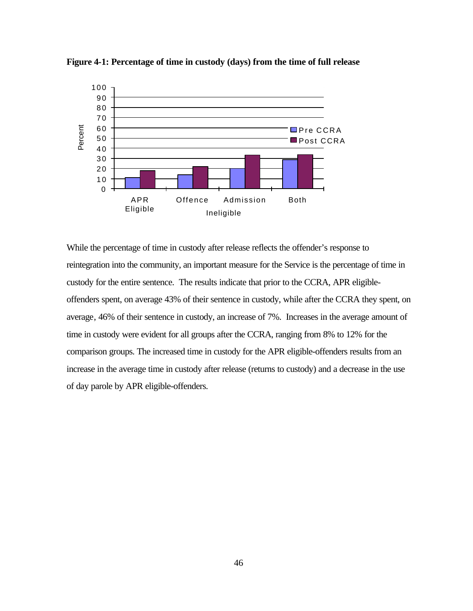

**Figure 4-1: Percentage of time in custody (days) from the time of full release**

While the percentage of time in custody after release reflects the offender's response to reintegration into the community, an important measure for the Service is the percentage of time in custody for the entire sentence. The results indicate that prior to the CCRA, APR eligibleoffenders spent, on average 43% of their sentence in custody, while after the CCRA they spent, on average, 46% of their sentence in custody, an increase of 7%. Increases in the average amount of time in custody were evident for all groups after the CCRA, ranging from 8% to 12% for the comparison groups. The increased time in custody for the APR eligible-offenders results from an increase in the average time in custody after release (returns to custody) and a decrease in the use of day parole by APR eligible-offenders.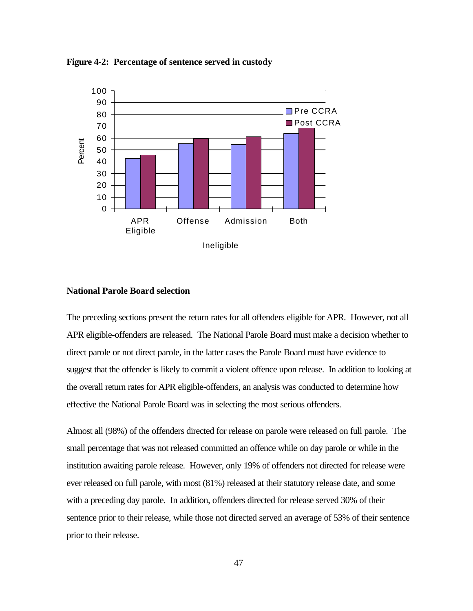**Figure 4-2: Percentage of sentence served in custody**



#### **National Parole Board selection**

The preceding sections present the return rates for all offenders eligible for APR. However, not all APR eligible-offenders are released. The National Parole Board must make a decision whether to direct parole or not direct parole, in the latter cases the Parole Board must have evidence to suggest that the offender is likely to commit a violent offence upon release. In addition to looking at the overall return rates for APR eligible-offenders, an analysis was conducted to determine how effective the National Parole Board was in selecting the most serious offenders.

Almost all (98%) of the offenders directed for release on parole were released on full parole. The small percentage that was not released committed an offence while on day parole or while in the institution awaiting parole release. However, only 19% of offenders not directed for release were ever released on full parole, with most (81%) released at their statutory release date, and some with a preceding day parole. In addition, offenders directed for release served 30% of their sentence prior to their release, while those not directed served an average of 53% of their sentence prior to their release.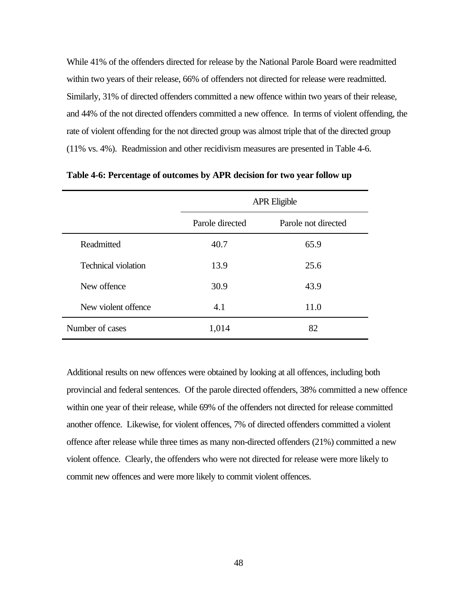While 41% of the offenders directed for release by the National Parole Board were readmitted within two years of their release, 66% of offenders not directed for release were readmitted. Similarly, 31% of directed offenders committed a new offence within two years of their release, and 44% of the not directed offenders committed a new offence. In terms of violent offending, the rate of violent offending for the not directed group was almost triple that of the directed group (11% vs. 4%). Readmission and other recidivism measures are presented in Table 4-6.

|                            | <b>APR Eligible</b> |                     |  |
|----------------------------|---------------------|---------------------|--|
|                            | Parole directed     | Parole not directed |  |
| Readmitted                 | 40.7                | 65.9                |  |
| <b>Technical violation</b> | 13.9                | 25.6                |  |
| New offence                | 30.9                | 43.9                |  |
| New violent offence        | 4.1                 | 11.0                |  |
| Number of cases            | 1,014               | 82                  |  |

**Table 4-6: Percentage of outcomes by APR decision for two year follow up**

Additional results on new offences were obtained by looking at all offences, including both provincial and federal sentences. Of the parole directed offenders, 38% committed a new offence within one year of their release, while 69% of the offenders not directed for release committed another offence. Likewise, for violent offences, 7% of directed offenders committed a violent offence after release while three times as many non-directed offenders (21%) committed a new violent offence. Clearly, the offenders who were not directed for release were more likely to commit new offences and were more likely to commit violent offences.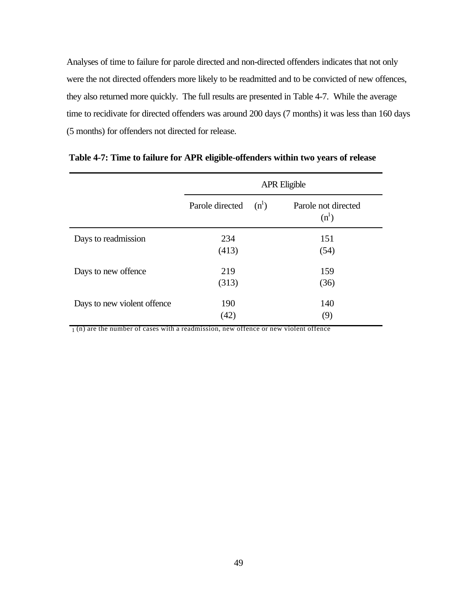Analyses of time to failure for parole directed and non-directed offenders indicates that not only were the not directed offenders more likely to be readmitted and to be convicted of new offences, they also returned more quickly. The full results are presented in Table 4-7. While the average time to recidivate for directed offenders was around 200 days (7 months) it was less than 160 days (5 months) for offenders not directed for release.

|                             | <b>APR Eligible</b> |         |                                |
|-----------------------------|---------------------|---------|--------------------------------|
|                             | Parole directed     | $(n^1)$ | Parole not directed<br>$(n^1)$ |
| Days to readmission         | 234                 |         | 151                            |
|                             | (413)               |         | (54)                           |
| Days to new offence         | 219                 |         | 159                            |
|                             | (313)               |         | (36)                           |
| Days to new violent offence | 190                 |         | 140                            |
|                             | (42)                |         | (9)                            |

 **Table 4-7: Time to failure for APR eligible-offenders within two years of release**

 $1(n)$  are the number of cases with a readmission, new offence or new violent offence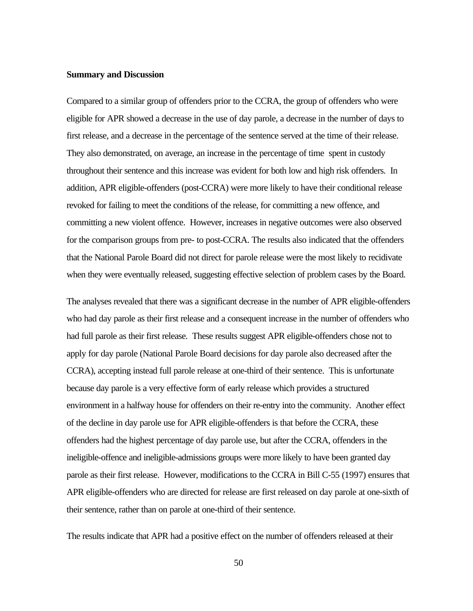#### **Summary and Discussion**

Compared to a similar group of offenders prior to the CCRA, the group of offenders who were eligible for APR showed a decrease in the use of day parole, a decrease in the number of days to first release, and a decrease in the percentage of the sentence served at the time of their release. They also demonstrated, on average, an increase in the percentage of time spent in custody throughout their sentence and this increase was evident for both low and high risk offenders. In addition, APR eligible-offenders (post-CCRA) were more likely to have their conditional release revoked for failing to meet the conditions of the release, for committing a new offence, and committing a new violent offence. However, increases in negative outcomes were also observed for the comparison groups from pre- to post-CCRA. The results also indicated that the offenders that the National Parole Board did not direct for parole release were the most likely to recidivate when they were eventually released, suggesting effective selection of problem cases by the Board.

The analyses revealed that there was a significant decrease in the number of APR eligible-offenders who had day parole as their first release and a consequent increase in the number of offenders who had full parole as their first release. These results suggest APR eligible-offenders chose not to apply for day parole (National Parole Board decisions for day parole also decreased after the CCRA), accepting instead full parole release at one-third of their sentence. This is unfortunate because day parole is a very effective form of early release which provides a structured environment in a halfway house for offenders on their re-entry into the community. Another effect of the decline in day parole use for APR eligible-offenders is that before the CCRA, these offenders had the highest percentage of day parole use, but after the CCRA, offenders in the ineligible-offence and ineligible-admissions groups were more likely to have been granted day parole as their first release. However, modifications to the CCRA in Bill C-55 (1997) ensures that APR eligible-offenders who are directed for release are first released on day parole at one-sixth of their sentence, rather than on parole at one-third of their sentence.

The results indicate that APR had a positive effect on the number of offenders released at their

50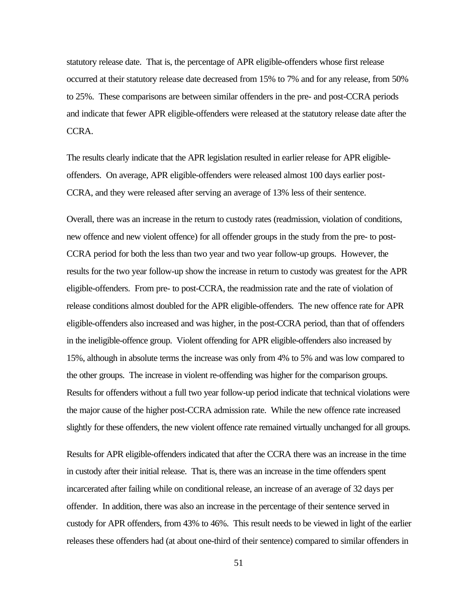statutory release date. That is, the percentage of APR eligible-offenders whose first release occurred at their statutory release date decreased from 15% to 7% and for any release, from 50% to 25%. These comparisons are between similar offenders in the pre- and post-CCRA periods and indicate that fewer APR eligible-offenders were released at the statutory release date after the CCRA.

The results clearly indicate that the APR legislation resulted in earlier release for APR eligibleoffenders. On average, APR eligible-offenders were released almost 100 days earlier post-CCRA, and they were released after serving an average of 13% less of their sentence.

Overall, there was an increase in the return to custody rates (readmission, violation of conditions, new offence and new violent offence) for all offender groups in the study from the pre- to post-CCRA period for both the less than two year and two year follow-up groups. However, the results for the two year follow-up show the increase in return to custody was greatest for the APR eligible-offenders. From pre- to post-CCRA, the readmission rate and the rate of violation of release conditions almost doubled for the APR eligible-offenders. The new offence rate for APR eligible-offenders also increased and was higher, in the post-CCRA period, than that of offenders in the ineligible-offence group. Violent offending for APR eligible-offenders also increased by 15%, although in absolute terms the increase was only from 4% to 5% and was low compared to the other groups. The increase in violent re-offending was higher for the comparison groups. Results for offenders without a full two year follow-up period indicate that technical violations were the major cause of the higher post-CCRA admission rate. While the new offence rate increased slightly for these offenders, the new violent offence rate remained virtually unchanged for all groups.

Results for APR eligible-offenders indicated that after the CCRA there was an increase in the time in custody after their initial release. That is, there was an increase in the time offenders spent incarcerated after failing while on conditional release, an increase of an average of 32 days per offender. In addition, there was also an increase in the percentage of their sentence served in custody for APR offenders, from 43% to 46%. This result needs to be viewed in light of the earlier releases these offenders had (at about one-third of their sentence) compared to similar offenders in

51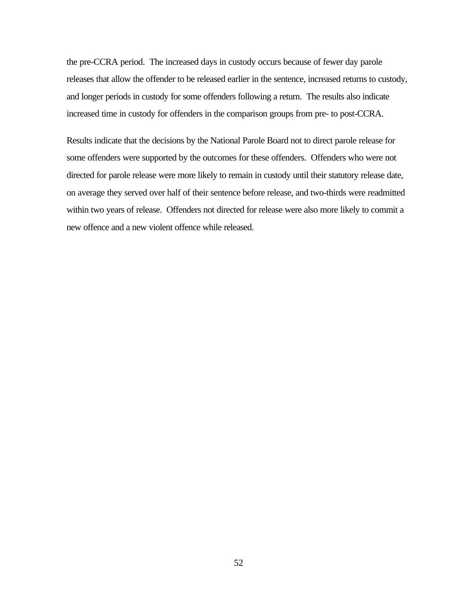the pre-CCRA period. The increased days in custody occurs because of fewer day parole releases that allow the offender to be released earlier in the sentence, increased returns to custody, and longer periods in custody for some offenders following a return. The results also indicate increased time in custody for offenders in the comparison groups from pre- to post-CCRA.

Results indicate that the decisions by the National Parole Board not to direct parole release for some offenders were supported by the outcomes for these offenders. Offenders who were not directed for parole release were more likely to remain in custody until their statutory release date, on average they served over half of their sentence before release, and two-thirds were readmitted within two years of release. Offenders not directed for release were also more likely to commit a new offence and a new violent offence while released.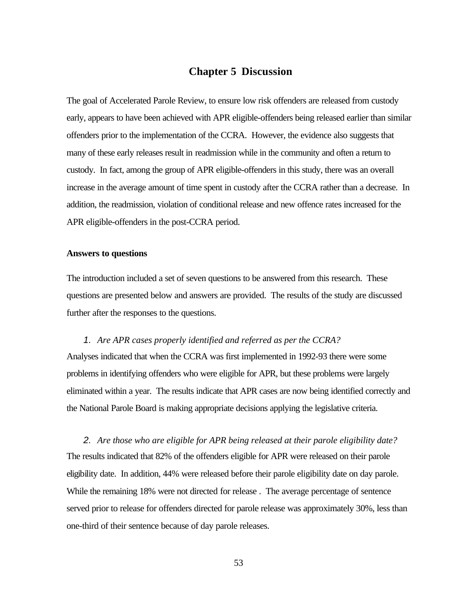# **Chapter 5 Discussion**

The goal of Accelerated Parole Review, to ensure low risk offenders are released from custody early, appears to have been achieved with APR eligible-offenders being released earlier than similar offenders prior to the implementation of the CCRA. However, the evidence also suggests that many of these early releases result in readmission while in the community and often a return to custody. In fact, among the group of APR eligible-offenders in this study, there was an overall increase in the average amount of time spent in custody after the CCRA rather than a decrease. In addition, the readmission, violation of conditional release and new offence rates increased for the APR eligible-offenders in the post-CCRA period.

#### **Answers to questions**

The introduction included a set of seven questions to be answered from this research. These questions are presented below and answers are provided. The results of the study are discussed further after the responses to the questions.

*1. Are APR cases properly identified and referred as per the CCRA?* Analyses indicated that when the CCRA was first implemented in 1992-93 there were some problems in identifying offenders who were eligible for APR, but these problems were largely eliminated within a year. The results indicate that APR cases are now being identified correctly and the National Parole Board is making appropriate decisions applying the legislative criteria.

*2. Are those who are eligible for APR being released at their parole eligibility date?* The results indicated that 82% of the offenders eligible for APR were released on their parole eligibility date. In addition, 44% were released before their parole eligibility date on day parole. While the remaining 18% were not directed for release . The average percentage of sentence served prior to release for offenders directed for parole release was approximately 30%, less than one-third of their sentence because of day parole releases.

53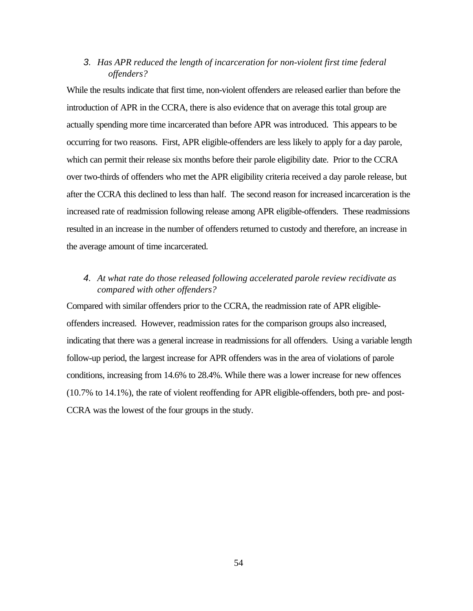# *3. Has APR reduced the length of incarceration for non-violent first time federal offenders?*

While the results indicate that first time, non-violent offenders are released earlier than before the introduction of APR in the CCRA, there is also evidence that on average this total group are actually spending more time incarcerated than before APR was introduced. This appears to be occurring for two reasons. First, APR eligible-offenders are less likely to apply for a day parole, which can permit their release six months before their parole eligibility date. Prior to the CCRA over two-thirds of offenders who met the APR eligibility criteria received a day parole release, but after the CCRA this declined to less than half. The second reason for increased incarceration is the increased rate of readmission following release among APR eligible-offenders. These readmissions resulted in an increase in the number of offenders returned to custody and therefore, an increase in the average amount of time incarcerated.

# *4. At what rate do those released following accelerated parole review recidivate as compared with other offenders?*

Compared with similar offenders prior to the CCRA, the readmission rate of APR eligibleoffenders increased. However, readmission rates for the comparison groups also increased, indicating that there was a general increase in readmissions for all offenders. Using a variable length follow-up period, the largest increase for APR offenders was in the area of violations of parole conditions, increasing from 14.6% to 28.4%. While there was a lower increase for new offences (10.7% to 14.1%), the rate of violent reoffending for APR eligible-offenders, both pre- and post-CCRA was the lowest of the four groups in the study.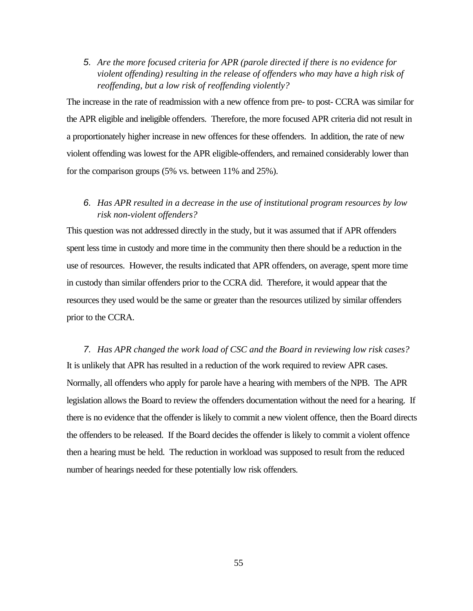*5. Are the more focused criteria for APR (parole directed if there is no evidence for violent offending) resulting in the release of offenders who may have a high risk of reoffending, but a low risk of reoffending violently?*

The increase in the rate of readmission with a new offence from pre- to post- CCRA was similar for the APR eligible and ineligible offenders. Therefore, the more focused APR criteria did not result in a proportionately higher increase in new offences for these offenders. In addition, the rate of new violent offending was lowest for the APR eligible-offenders, and remained considerably lower than for the comparison groups (5% vs. between 11% and 25%).

# *6. Has APR resulted in a decrease in the use of institutional program resources by low risk non-violent offenders?*

This question was not addressed directly in the study, but it was assumed that if APR offenders spent less time in custody and more time in the community then there should be a reduction in the use of resources. However, the results indicated that APR offenders, on average, spent more time in custody than similar offenders prior to the CCRA did. Therefore, it would appear that the resources they used would be the same or greater than the resources utilized by similar offenders prior to the CCRA.

*7. Has APR changed the work load of CSC and the Board in reviewing low risk cases?* It is unlikely that APR has resulted in a reduction of the work required to review APR cases. Normally, all offenders who apply for parole have a hearing with members of the NPB. The APR legislation allows the Board to review the offenders documentation without the need for a hearing. If there is no evidence that the offender is likely to commit a new violent offence, then the Board directs the offenders to be released. If the Board decides the offender is likely to commit a violent offence then a hearing must be held. The reduction in workload was supposed to result from the reduced number of hearings needed for these potentially low risk offenders.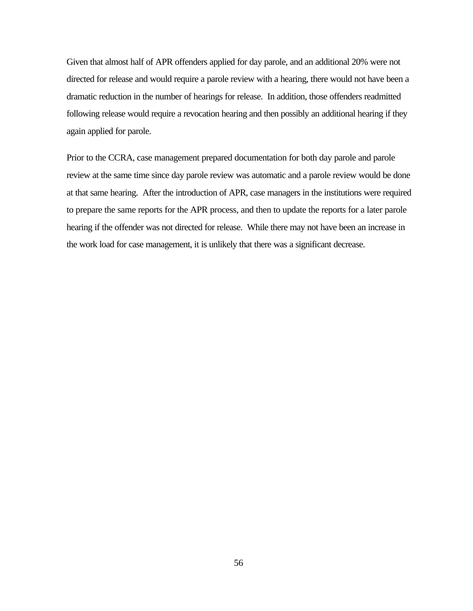Given that almost half of APR offenders applied for day parole, and an additional 20% were not directed for release and would require a parole review with a hearing, there would not have been a dramatic reduction in the number of hearings for release. In addition, those offenders readmitted following release would require a revocation hearing and then possibly an additional hearing if they again applied for parole.

Prior to the CCRA, case management prepared documentation for both day parole and parole review at the same time since day parole review was automatic and a parole review would be done at that same hearing. After the introduction of APR, case managers in the institutions were required to prepare the same reports for the APR process, and then to update the reports for a later parole hearing if the offender was not directed for release. While there may not have been an increase in the work load for case management, it is unlikely that there was a significant decrease.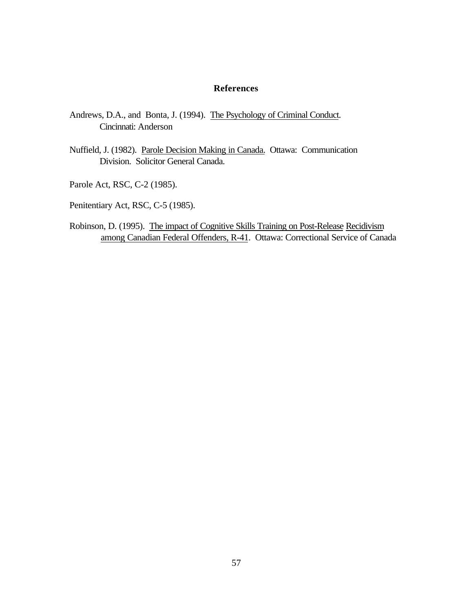#### **References**

- Andrews, D.A., and Bonta, J. (1994). The Psychology of Criminal Conduct. Cincinnati: Anderson
- Nuffield, J. (1982). Parole Decision Making in Canada. Ottawa: Communication Division. Solicitor General Canada.
- Parole Act, RSC, C-2 (1985).
- Penitentiary Act, RSC, C-5 (1985).
- Robinson, D. (1995). The impact of Cognitive Skills Training on Post-Release Recidivism among Canadian Federal Offenders, R-41. Ottawa: Correctional Service of Canada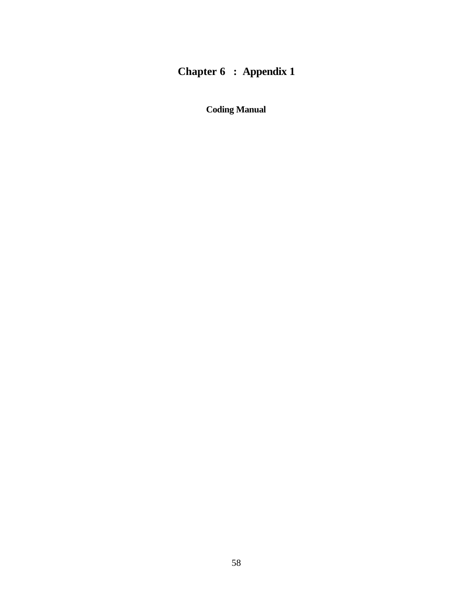# **Chapter 6 : Appendix 1**

**Coding Manual**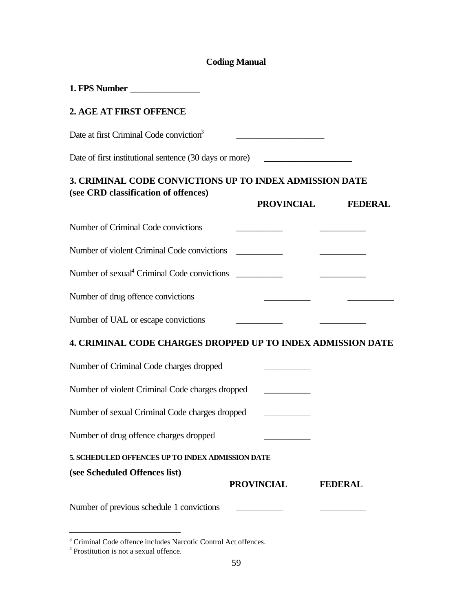# **Coding Manual**

| 2. AGE AT FIRST OFFENCE                                                                         |                                                                                                                        |                |
|-------------------------------------------------------------------------------------------------|------------------------------------------------------------------------------------------------------------------------|----------------|
| Date at first Criminal Code conviction <sup>3</sup>                                             |                                                                                                                        |                |
| Date of first institutional sentence (30 days or more) __________________________               |                                                                                                                        |                |
| 3. CRIMINAL CODE CONVICTIONS UP TO INDEX ADMISSION DATE<br>(see CRD classification of offences) |                                                                                                                        |                |
|                                                                                                 | <b>PROVINCIAL</b>                                                                                                      | <b>FEDERAL</b> |
| Number of Criminal Code convictions                                                             |                                                                                                                        |                |
| Number of violent Criminal Code convictions                                                     | <u> Albania de la contrada de la contrada de la contrada de la contrada de la contrada de la contrada de la contra</u> |                |
|                                                                                                 |                                                                                                                        |                |
| Number of drug offence convictions                                                              |                                                                                                                        |                |
| Number of UAL or escape convictions                                                             |                                                                                                                        |                |
| 4. CRIMINAL CODE CHARGES DROPPED UP TO INDEX ADMISSION DATE                                     |                                                                                                                        |                |
| Number of Criminal Code charges dropped                                                         |                                                                                                                        |                |
| Number of violent Criminal Code charges dropped                                                 |                                                                                                                        |                |
| Number of sexual Criminal Code charges dropped                                                  |                                                                                                                        |                |
| Number of drug offence charges dropped                                                          |                                                                                                                        |                |
| 5. SCHEDULED OFFENCES UP TO INDEX ADMISSION DATE                                                |                                                                                                                        |                |
| (see Scheduled Offences list)                                                                   | <b>PROVINCIAL</b>                                                                                                      | <b>FEDERAL</b> |
| Number of previous schedule 1 convictions                                                       |                                                                                                                        |                |

<sup>&</sup>lt;sup>3</sup> Criminal Code offence includes Narcotic Control Act offences.<br><sup>4</sup> Prostitution is not a sexual offence.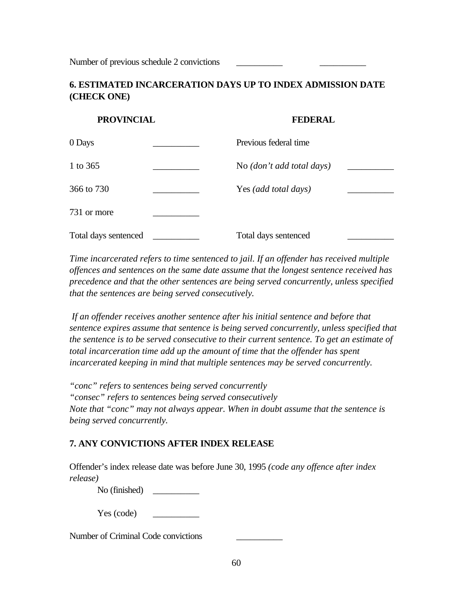Number of previous schedule 2 convictions

# **6. ESTIMATED INCARCERATION DAYS UP TO INDEX ADMISSION DATE (CHECK ONE)**

# **PROVINCIAL FEDERAL**

| 0 Days               | Previous federal time     |  |
|----------------------|---------------------------|--|
| 1 to 365             | No (don't add total days) |  |
| 366 to 730           | Yes (add total days)      |  |
| 731 or more          |                           |  |
| Total days sentenced | Total days sentenced      |  |

*Time incarcerated refers to time sentenced to jail. If an offender has received multiple offences and sentences on the same date assume that the longest sentence received has precedence and that the other sentences are being served concurrently, unless specified that the sentences are being served consecutively.*

 *If an offender receives another sentence after his initial sentence and before that sentence expires assume that sentence is being served concurrently, unless specified that the sentence is to be served consecutive to their current sentence. To get an estimate of total incarceration time add up the amount of time that the offender has spent incarcerated keeping in mind that multiple sentences may be served concurrently.*

*"conc" refers to sentences being served concurrently "consec" refers to sentences being served consecutively Note that "conc" may not always appear. When in doubt assume that the sentence is being served concurrently.*

# **7. ANY CONVICTIONS AFTER INDEX RELEASE**

Offender's index release date was before June 30, 1995 *(code any offence after index release)*

No (finished)

Yes (code) \_\_\_\_\_\_\_\_\_\_

Number of Criminal Code convictions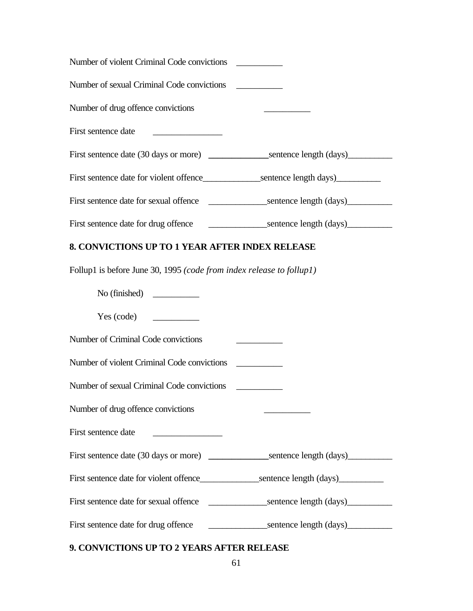| Number of violent Criminal Code convictions                                                          |  |
|------------------------------------------------------------------------------------------------------|--|
| Number of sexual Criminal Code convictions                                                           |  |
| Number of drug offence convictions                                                                   |  |
| First sentence date                                                                                  |  |
| First sentence date (30 days or more) _________________sentence length (days)_______________________ |  |
| First sentence date for violent offence____________________sentence length days)___________________  |  |
|                                                                                                      |  |
|                                                                                                      |  |
| 8. CONVICTIONS UP TO 1 YEAR AFTER INDEX RELEASE                                                      |  |
| Follup1 is before June 30, 1995 (code from index release to follup1)                                 |  |
| No (finished) $\qquad \qquad$                                                                        |  |
| Yes (code)                                                                                           |  |
| Number of Criminal Code convictions                                                                  |  |
| Number of violent Criminal Code convictions                                                          |  |
| Number of sexual Criminal Code convictions                                                           |  |
| Number of drug offence convictions                                                                   |  |
| First sentence date                                                                                  |  |
| First sentence date (30 days or more) ________________sentence length (days)________________________ |  |
|                                                                                                      |  |
|                                                                                                      |  |
| First sentence date for drug offence                                                                 |  |
|                                                                                                      |  |

# **9. CONVICTIONS UP TO 2 YEARS AFTER RELEASE**